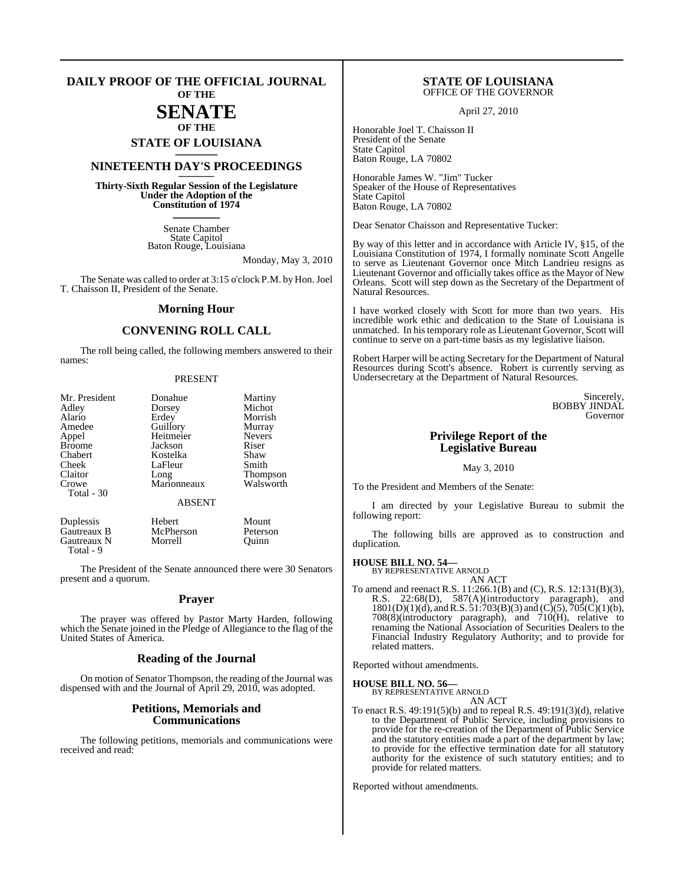#### **DAILY PROOF OF THE OFFICIAL JOURNAL OF THE**

### **SENATE OF THE**

**STATE OF LOUISIANA \_\_\_\_\_\_\_**

### **NINETEENTH DAY'S PROCEEDINGS \_\_\_\_\_\_\_**

**Thirty-Sixth Regular Session of the Legislature Under the Adoption of the Constitution of 1974 \_\_\_\_\_\_\_**

> Senate Chamber State Capitol Baton Rouge, Louisiana

> > Monday, May 3, 2010

The Senate was called to order at 3:15 o'clock P.M. by Hon. Joel T. Chaisson II, President of the Senate.

#### **Morning Hour**

#### **CONVENING ROLL CALL**

The roll being called, the following members answered to their names:

#### PRESENT

| Mr. President | Donahue       | Martiny<br>Michot |
|---------------|---------------|-------------------|
| Adley         | Dorsey        |                   |
| Alario        | Erdey         | Morrish           |
| Amedee        | Guillory      | Murray            |
| Appel         | Heitmeier     | <b>Nevers</b>     |
| <b>Broome</b> | Jackson       | Riser             |
| Chabert       | Kostelka      | Shaw              |
| Cheek         | LaFleur       | Smith             |
| Claitor       | Long          | Thompson          |
| Crowe         | Marionneaux   | Walsworth         |
| Total - 30    |               |                   |
|               | <b>ABSENT</b> |                   |
| Duplessis     | Hebert        | Mount             |
| Gautreaux B   | McPherson     | Peterson          |
| Gautreaux N   | Morrell       | Ouinn             |

Total - 9

The President of the Senate announced there were 30 Senators present and a quorum.

#### **Prayer**

The prayer was offered by Pastor Marty Harden, following which the Senate joined in the Pledge of Allegiance to the flag of the United States of America.

#### **Reading of the Journal**

On motion of Senator Thompson, the reading of the Journal was dispensed with and the Journal of April 29, 2010, was adopted.

#### **Petitions, Memorials and Communications**

The following petitions, memorials and communications were received and read:

#### **STATE OF LOUISIANA** OFFICE OF THE GOVERNOR

April 27, 2010

Honorable Joel T. Chaisson II President of the Senate State Capitol Baton Rouge, LA 70802

Honorable James W. "Jim" Tucker Speaker of the House of Representatives State Capitol Baton Rouge, LA 70802

Dear Senator Chaisson and Representative Tucker:

By way of this letter and in accordance with Article IV, §15, of the Louisiana Constitution of 1974, I formally nominate Scott Angelle to serve as Lieutenant Governor once Mitch Landrieu resigns as Lieutenant Governor and officially takes office as the Mayor of New Orleans. Scott will step down as the Secretary of the Department of Natural Resources.

I have worked closely with Scott for more than two years. His incredible work ethic and dedication to the State of Louisiana is unmatched. In his temporary role as Lieutenant Governor, Scott will continue to serve on a part-time basis as my legislative liaison.

Robert Harper will be acting Secretary for the Department of Natural Resources during Scott's absence. Robert is currently serving as Undersecretary at the Department of Natural Resources.

> Sincerely, BOBBY JINDAL Governor

### **Privilege Report of the Legislative Bureau**

#### May 3, 2010

To the President and Members of the Senate:

I am directed by your Legislative Bureau to submit the following report:

The following bills are approved as to construction and duplication.

#### **HOUSE BILL NO. 54—**

BY REPRESENTATIVE ARNOLD AN ACT

To amend and reenact R.S. 11:266.1(B) and (C), R.S. 12:131(B)(3), R.S. 22:68(D), 587(A)(introductory paragraph), and  $1801(D)(1)(d)$ , and R.S.  $51:703(B)(3)$  and  $(C)(5)$ ,  $705(C)(1)(b)$ , 708(8)(introductory paragraph), and 710(H), relative to renaming the National Association of Securities Dealers to the Financial Industry Regulatory Authority; and to provide for related matters.

Reported without amendments.

#### **HOUSE BILL NO. 56—**

BY REPRESENTATIVE ARNOLD AN ACT

To enact R.S. 49:191(5)(b) and to repeal R.S. 49:191(3)(d), relative to the Department of Public Service, including provisions to provide for the re-creation of the Department of Public Service and the statutory entities made a part of the department by law; to provide for the effective termination date for all statutory authority for the existence of such statutory entities; and to provide for related matters.

Reported without amendments.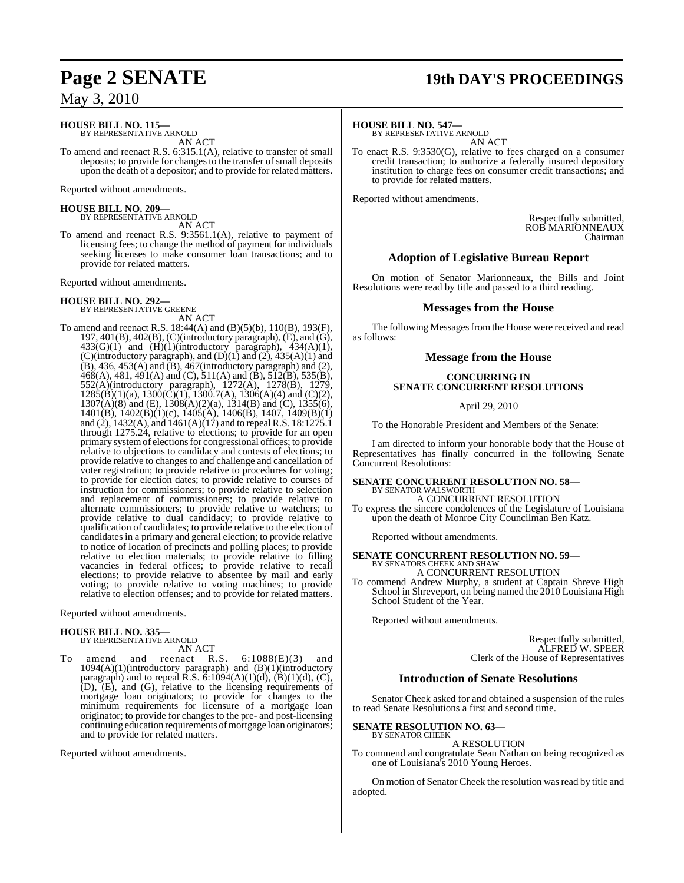#### **HOUSE BILL NO. 115—** BY REPRESENTATIVE ARNOLD

AN ACT

To amend and reenact R.S. 6:315.1(A), relative to transfer of small deposits; to provide for changes to the transfer of small deposits upon the death of a depositor; and to provide for related matters.

Reported without amendments.

#### **HOUSE BILL NO. 209—** BY REPRESENTATIVE ARNOLD

AN ACT

To amend and reenact R.S. 9:3561.1(A), relative to payment of licensing fees; to change the method of payment for individuals seeking licenses to make consumer loan transactions; and to provide for related matters.

Reported without amendments.

# **HOUSE BILL NO. 292—** BY REPRESENTATIVE GREENE

AN ACT

To amend and reenact R.S. 18:44(A) and (B)(5)(b), 110(B), 193(F), 197, 401(B), 402(B), (C)(introductory paragraph), (E), and (G),  $433(G)(1)$  and  $(H)(1)(introductory$  paragraph),  $434(A)(1)$ , (C)(introductory paragraph), and  $(D)(1)$  and  $(2)$ ,  $435(A)(1)$  and  $(B)$ , 436, 453 $(A)$  and  $(B)$ , 467 $($ introductory paragraph) and  $(2)$ ,  $468(A)$ , 481, 491(A) and (C), 511(A) and (B), 512(B), 535(B), 552(A)(introductory paragraph), 1272(A), 1278(B), 1279,  $1285(B)(1)(a)$ ,  $1300(C)(1)$ ,  $1300.7(A)$ ,  $1306(A)(4)$  and  $(C)(2)$ , 1307(A)(8) and (E), 1308(A)(2)(a), 1314(B) and (C), 1355(6), 1401(B), 1402(B)(1)(c), 1405(A), 1406(B), 1407, 1409(B)(1) and (2),  $1432(A)$ , and  $1461(A)(17)$  and to repeal R.S. 18:1275.1 through 1275.24, relative to elections; to provide for an open primary systemof electionsfor congressional offices; to provide relative to objections to candidacy and contests of elections; to provide relative to changes to and challenge and cancellation of voter registration; to provide relative to procedures for voting; to provide for election dates; to provide relative to courses of instruction for commissioners; to provide relative to selection and replacement of commissioners; to provide relative to alternate commissioners; to provide relative to watchers; to provide relative to dual candidacy; to provide relative to qualification of candidates; to provide relative to the election of candidates in a primary and general election; to provide relative to notice of location of precincts and polling places; to provide relative to election materials; to provide relative to filling vacancies in federal offices; to provide relative to recall elections; to provide relative to absentee by mail and early voting; to provide relative to voting machines; to provide relative to election offenses; and to provide for related matters.

Reported without amendments.

#### **HOUSE BILL NO. 335—**

BY REPRESENTATIVE ARNOLD AN ACT

To amend and reenact R.S. 6:1088(E)(3) and 1094(A)(1)(introductory paragraph) and (B)(1)(introductory paragraph) and to repeal  $\hat{R}$ .S.  $\check{\text{o}}$ :1094(A)(1)(d), (B)(1)(d), (C), (D), (E), and (G), relative to the licensing requirements of mortgage loan originators; to provide for changes to the minimum requirements for licensure of a mortgage loan originator; to provide for changes to the pre- and post-licensing continuing education requirements of mortgage loan originators; and to provide for related matters.

Reported without amendments.

## **Page 2 SENATE 19th DAY'S PROCEEDINGS**

#### **HOUSE BILL NO. 547—**

BY REPRESENTATIVE ARNOLD AN ACT

To enact R.S. 9:3530(G), relative to fees charged on a consumer credit transaction; to authorize a federally insured depository institution to charge fees on consumer credit transactions; and to provide for related matters.

Reported without amendments.

Respectfully submitted, ROB MARIONNEAUX Chairman

#### **Adoption of Legislative Bureau Report**

On motion of Senator Marionneaux, the Bills and Joint Resolutions were read by title and passed to a third reading.

#### **Messages from the House**

The following Messages from the House were received and read as follows:

#### **Message from the House**

#### **CONCURRING IN SENATE CONCURRENT RESOLUTIONS**

April 29, 2010

To the Honorable President and Members of the Senate:

I am directed to inform your honorable body that the House of Representatives has finally concurred in the following Senate Concurrent Resolutions:

#### **SENATE CONCURRENT RESOLUTION NO. 58—** BY SENATOR WALSWORTH

A CONCURRENT RESOLUTION To express the sincere condolences of the Legislature of Louisiana upon the death of Monroe City Councilman Ben Katz.

Reported without amendments.

### **SENATE CONCURRENT RESOLUTION NO. 59—** BY SENATORS CHEEK AND SHAW A CONCURRENT RESOLUTION

To commend Andrew Murphy, a student at Captain Shreve High School in Shreveport, on being named the 2010 Louisiana High School Student of the Year.

Reported without amendments.

Respectfully submitted, ALFRED W. SPEER Clerk of the House of Representatives

#### **Introduction of Senate Resolutions**

Senator Cheek asked for and obtained a suspension of the rules to read Senate Resolutions a first and second time.

#### **SENATE RESOLUTION NO. 63—** BY SENATOR CHEEK

A RESOLUTION

To commend and congratulate Sean Nathan on being recognized as one of Louisiana's 2010 Young Heroes.

On motion of Senator Cheek the resolution was read by title and adopted.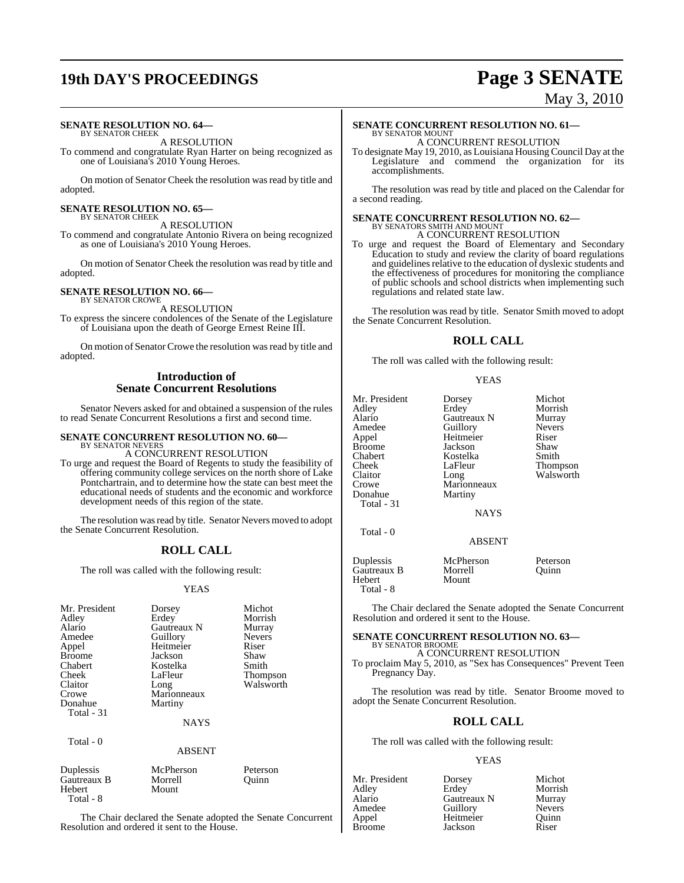# **19th DAY'S PROCEEDINGS Page 3 SENATE**

#### **SENATE RESOLUTION NO. 64—** BY SENATOR CHEEK

A RESOLUTION

To commend and congratulate Ryan Harter on being recognized as one of Louisiana's 2010 Young Heroes.

On motion of Senator Cheek the resolution was read by title and adopted.

#### **SENATE RESOLUTION NO. 65—** BY SENATOR CHEEK

A RESOLUTION

To commend and congratulate Antonio Rivera on being recognized as one of Louisiana's 2010 Young Heroes.

On motion of Senator Cheek the resolution wasread by title and adopted.

#### **SENATE RESOLUTION NO. 66—** BY SENATOR CROWE

A RESOLUTION

To express the sincere condolences of the Senate of the Legislature of Louisiana upon the death of George Ernest Reine III.

On motion of Senator Crowe the resolution was read by title and adopted.

#### **Introduction of Senate Concurrent Resolutions**

Senator Nevers asked for and obtained a suspension of the rules to read Senate Concurrent Resolutions a first and second time.

### **SENATE CONCURRENT RESOLUTION NO. 60—** BY SENATOR NEVERS

A CONCURRENT RESOLUTION

To urge and request the Board of Regents to study the feasibility of offering community college services on the north shore of Lake Pontchartrain, and to determine how the state can best meet the educational needs of students and the economic and workforce development needs of this region of the state.

The resolution was read by title. Senator Nevers moved to adopt the Senate Concurrent Resolution.

### **ROLL CALL**

The roll was called with the following result:

#### YEAS

| Mr. President<br>Adley<br>Alario<br>Amedee<br>Appel<br><b>Broome</b><br>Chabert<br>Cheek<br>Claitor<br>Crowe<br>Donahue<br>Total - 31 | Dorsey<br>Erdey<br>Gautreaux N<br>Guillory<br>Heitmeier<br>Jackson<br>Kostelka<br>LaFleur<br>Long<br>Marionneaux<br>Martiny<br><b>NAYS</b> | Michot<br>Morrish<br>Murray<br><b>Nevers</b><br>Riser<br>Shaw<br>Smith<br><b>Thompson</b><br>Walsworth |
|---------------------------------------------------------------------------------------------------------------------------------------|--------------------------------------------------------------------------------------------------------------------------------------------|--------------------------------------------------------------------------------------------------------|
|                                                                                                                                       |                                                                                                                                            |                                                                                                        |
|                                                                                                                                       |                                                                                                                                            |                                                                                                        |

Mount

### Total - 0

ABSENT

| Duplessis   |  |
|-------------|--|
| Gautreaux B |  |
| Hebert      |  |
| Total - 8   |  |

McPherson Peterson<br>
Morrell Ouinn Morrell

The Chair declared the Senate adopted the Senate Concurrent Resolution and ordered it sent to the House.

# May 3, 2010

#### **SENATE CONCURRENT RESOLUTION NO. 61—** BY SENATOR MOUNT A CONCURRENT RESOLUTION

To designate May 19, 2010, as Louisiana Housing Council Day at the Legislature and commend the organization for its accomplishments.

The resolution was read by title and placed on the Calendar for a second reading.

## **SENATE CONCURRENT RESOLUTION NO. 62—** BY SENATORS SMITH AND MOUNT

A CONCURRENT RESOLUTION

To urge and request the Board of Elementary and Secondary Education to study and review the clarity of board regulations and guidelines relative to the education of dyslexic students and the effectiveness of procedures for monitoring the compliance of public schools and school districts when implementing such regulations and related state law.

The resolution was read by title. Senator Smith moved to adopt the Senate Concurrent Resolution.

#### **ROLL CALL**

The roll was called with the following result:

#### YEAS

| Mr. President<br>Adlev<br>Alario<br>Amedee<br>Appel<br>Broome<br>Chabert<br>Cheek<br>Claitor<br>Crowe<br>Donahue<br>Total - 31 | Dorsey<br>Erdey<br>Gautreaux N<br>Guillory<br>Heitmeier<br>Jackson<br>Kostelka<br>LaFleur<br>Long<br>Marionneaux<br>Martiny | Michot<br>Morrish<br>Murray<br><b>Nevers</b><br>Riser<br>Shaw<br>Smith<br>Thompson<br>Walsworth |
|--------------------------------------------------------------------------------------------------------------------------------|-----------------------------------------------------------------------------------------------------------------------------|-------------------------------------------------------------------------------------------------|
|                                                                                                                                | <b>NAYS</b>                                                                                                                 |                                                                                                 |
| Total $-0$                                                                                                                     | <b>ABSENT</b>                                                                                                               |                                                                                                 |
| Duplessis<br>Gautreaux B<br>Hebert                                                                                             | McPherson<br>Morrell<br>Mount                                                                                               | Peterson<br>Quinn                                                                               |

Total - 8

The Chair declared the Senate adopted the Senate Concurrent Resolution and ordered it sent to the House.

### **SENATE CONCURRENT RESOLUTION NO. 63—** BY SENATOR BROOME

A CONCURRENT RESOLUTION

To proclaim May 5, 2010, as "Sex has Consequences" Prevent Teen Pregnancy Day.

The resolution was read by title. Senator Broome moved to adopt the Senate Concurrent Resolution.

#### **ROLL CALL**

The roll was called with the following result:

#### YEAS

| Dorsey      | Michot        |
|-------------|---------------|
| Erdey       | Morrish       |
| Gautreaux N | Murray        |
| Guillory    | <b>Nevers</b> |
|             | Ouinn         |
| Jackson     | Riser         |
|             | Heitmeier     |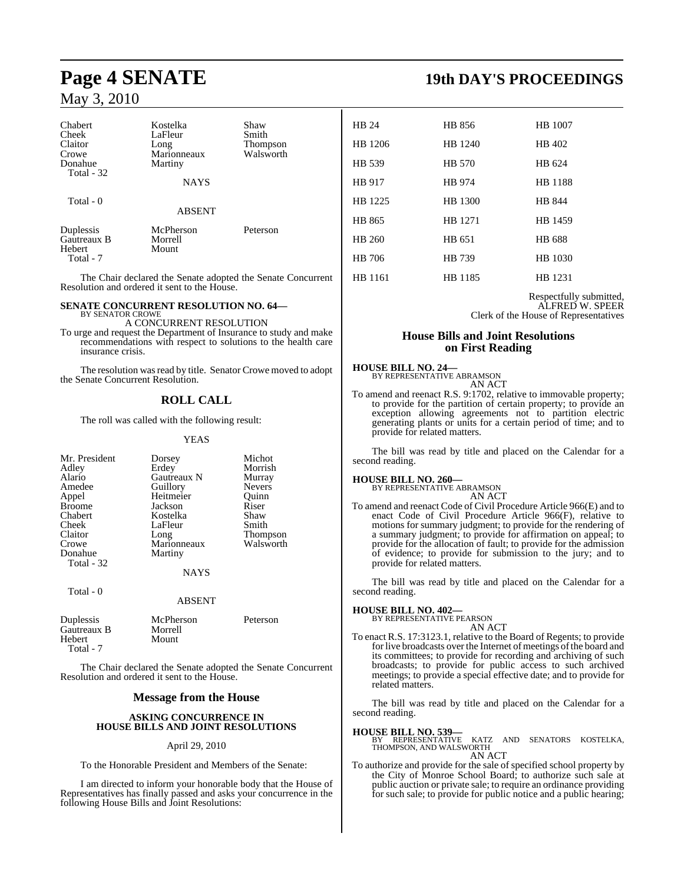| Chabert<br>Cheek<br>Claitor<br>Crowe<br>Donahue<br>Total - 32 | Kostelka<br>LaFleur<br>Long<br>Marionneaux<br>Martiny | Shaw<br>Smith<br>Thompson<br>Walsworth |  |
|---------------------------------------------------------------|-------------------------------------------------------|----------------------------------------|--|
|                                                               | <b>NAYS</b>                                           |                                        |  |
| Total - 0                                                     | <b>ABSENT</b>                                         |                                        |  |
| Duplessis<br>Gautreaux B<br>Hebert<br>Total - 7               | McPherson<br>Morrell<br>Mount                         | Peterson                               |  |

The Chair declared the Senate adopted the Senate Concurrent Resolution and ordered it sent to the House.

#### **SENATE CONCURRENT RESOLUTION NO. 64—** BY SENATOR CROWE

A CONCURRENT RESOLUTION

To urge and request the Department of Insurance to study and make recommendations with respect to solutions to the health care insurance crisis.

The resolution was read by title. Senator Crowe moved to adopt the Senate Concurrent Resolution.

### **ROLL CALL**

The roll was called with the following result:

YEAS

| Mr. President<br>Adley<br>Alario<br>Amedee<br>Appel<br><b>Broome</b><br>Chabert<br>Cheek<br>Claitor<br>Crowe<br>Donahue<br>Total - 32 | Dorsey<br>Erdey<br>Gautreaux N<br>Guillory<br>Heitmeier<br>Jackson<br>Kostelka<br>LaFleur<br>Long<br>Marionneaux<br>Martiny<br><b>NAYS</b> | Michot<br>Morrish<br>Murray<br><b>Nevers</b><br>Quinn<br>Riser<br>Shaw<br>Smith<br>Thompson<br>Walsworth |
|---------------------------------------------------------------------------------------------------------------------------------------|--------------------------------------------------------------------------------------------------------------------------------------------|----------------------------------------------------------------------------------------------------------|
| Total - 0                                                                                                                             | <b>ABSENT</b>                                                                                                                              |                                                                                                          |
| Duplessis<br>Gautreaux B<br>Hebert<br>Total - 7                                                                                       | McPherson<br>Morrell<br>Mount                                                                                                              | Peterson                                                                                                 |

The Chair declared the Senate adopted the Senate Concurrent Resolution and ordered it sent to the House.

#### **Message from the House**

#### **ASKING CONCURRENCE IN HOUSE BILLS AND JOINT RESOLUTIONS**

#### April 29, 2010

To the Honorable President and Members of the Senate:

I am directed to inform your honorable body that the House of Representatives has finally passed and asks your concurrence in the following House Bills and Joint Resolutions:

## **Page 4 SENATE 19th DAY'S PROCEEDINGS**

| HB 24   | HB 856  | HB 1007        |
|---------|---------|----------------|
| HB 1206 | HB 1240 | HB 402         |
| HB 539  | HB 570  | HB 624         |
| HB 917  | HB 974  | <b>HB</b> 1188 |
| HB 1225 | HB 1300 | HB 844         |
| HB 865  | HB 1271 | HB 1459        |
| HB 260  | HB 651  | HB 688         |
| HB 706  | HB 739  | HB 1030        |
| HB 1161 | HB 1185 | HB 1231        |
|         |         |                |

Respectfully submitted, ALFRED W. SPEER Clerk of the House of Representatives

#### **House Bills and Joint Resolutions on First Reading**

#### **HOUSE BILL NO. 24—**

BY REPRESENTATIVE ABRAMSON AN ACT

To amend and reenact R.S. 9:1702, relative to immovable property; to provide for the partition of certain property; to provide an exception allowing agreements not to partition electric generating plants or units for a certain period of time; and to provide for related matters.

The bill was read by title and placed on the Calendar for a second reading.

#### **HOUSE BILL NO. 260—**

BY REPRESENTATIVE ABRAMSON AN ACT

To amend and reenact Code of Civil Procedure Article 966(E) and to enact Code of Civil Procedure Article 966(F), relative to motions for summary judgment; to provide for the rendering of a summary judgment; to provide for affirmation on appeal; to provide for the allocation of fault; to provide for the admission of evidence; to provide for submission to the jury; and to provide for related matters.

The bill was read by title and placed on the Calendar for a second reading.

#### **HOUSE BILL NO. 402—**

BY REPRESENTATIVE PEARSON

- AN ACT
- To enact R.S. 17:3123.1, relative to the Board of Regents; to provide for live broadcasts over the Internet of meetings of the board and its committees; to provide for recording and archiving of such broadcasts; to provide for public access to such archived meetings; to provide a special effective date; and to provide for related matters.

The bill was read by title and placed on the Calendar for a second reading.

#### **HOUSE BILL NO. 539—**

BY REPRESENTATIVE KATZ AND SENATORS KOSTELKA, THOMPSON, AND WALSWORTH AN ACT

To authorize and provide for the sale of specified school property by the City of Monroe School Board; to authorize such sale at public auction or private sale; to require an ordinance providing for such sale; to provide for public notice and a public hearing;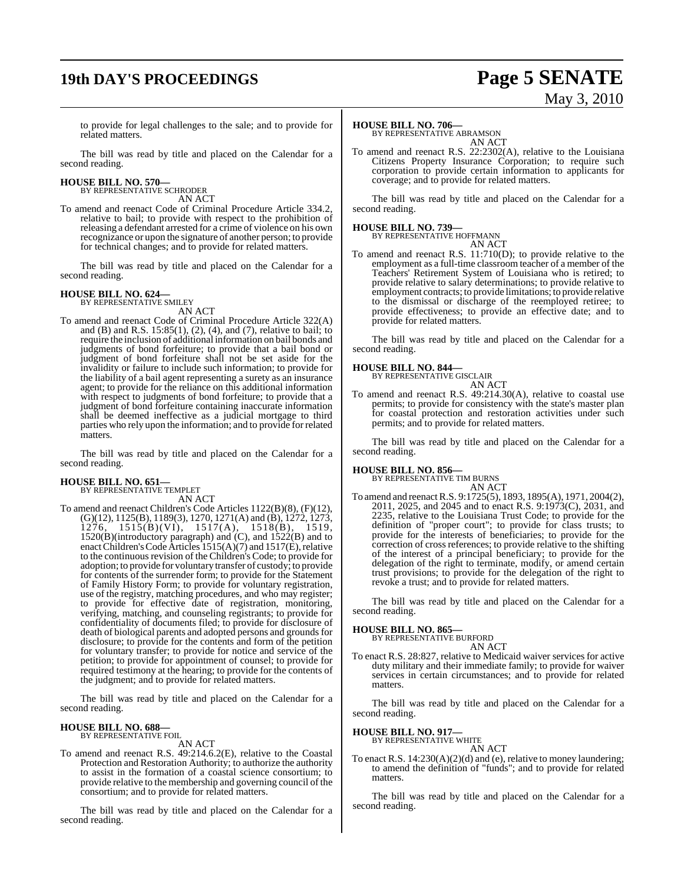# **19th DAY'S PROCEEDINGS Page 5 SENATE**

# May 3, 2010

to provide for legal challenges to the sale; and to provide for related matters.

The bill was read by title and placed on the Calendar for a second reading.

# **HOUSE BILL NO. 570—** BY REPRESENTATIVE SCHRODER

AN ACT

To amend and reenact Code of Criminal Procedure Article 334.2, relative to bail; to provide with respect to the prohibition of releasing a defendant arrested for a crime of violence on his own recognizance or upon the signature of another person; to provide for technical changes; and to provide for related matters.

The bill was read by title and placed on the Calendar for a second reading.

### **HOUSE BILL NO. 624—**

BY REPRESENTATIVE SMILEY

AN ACT To amend and reenact Code of Criminal Procedure Article 322(A) and (B) and R.S. 15:85(1), (2), (4), and (7), relative to bail; to require the inclusion of additional information on bail bonds and judgments of bond forfeiture; to provide that a bail bond or judgment of bond forfeiture shall not be set aside for the invalidity or failure to include such information; to provide for the liability of a bail agent representing a surety as an insurance agent; to provide for the reliance on this additional information with respect to judgments of bond forfeiture; to provide that a judgment of bond forfeiture containing inaccurate information shall be deemed ineffective as a judicial mortgage to third parties who rely upon the information; and to provide for related matters.

The bill was read by title and placed on the Calendar for a second reading.

## **HOUSE BILL NO. 651—** BY REPRESENTATIVE TEMPLET

AN ACT

To amend and reenact Children's Code Articles 1122(B)(8), (F)(12), (G)(12), 1125(B), 1189(3), 1270, 1271(A) and (B), 1272, 1273, 1276, 1515(B)(VI), 1517(A), 1518(B), 1519, 1520(B)(introductory paragraph) and (C), and 1522(B) and to enact Children's Code Articles 1515(A)(7) and 1517(E), relative to the continuous revision of the Children's Code; to provide for adoption; to provide for voluntary transfer of custody; to provide for contents of the surrender form; to provide for the Statement of Family History Form; to provide for voluntary registration, use of the registry, matching procedures, and who may register; to provide for effective date of registration, monitoring, verifying, matching, and counseling registrants; to provide for confidentiality of documents filed; to provide for disclosure of death of biological parents and adopted persons and grounds for disclosure; to provide for the contents and form of the petition for voluntary transfer; to provide for notice and service of the petition; to provide for appointment of counsel; to provide for required testimony at the hearing; to provide for the contents of the judgment; and to provide for related matters.

The bill was read by title and placed on the Calendar for a second reading.

#### **HOUSE BILL NO. 688—** BY REPRESENTATIVE FOIL

AN ACT

To amend and reenact R.S. 49:214.6.2(E), relative to the Coastal Protection and Restoration Authority; to authorize the authority to assist in the formation of a coastal science consortium; to provide relative to the membership and governing council of the consortium; and to provide for related matters.

The bill was read by title and placed on the Calendar for a second reading.

#### **HOUSE BILL NO. 706—**

BY REPRESENTATIVE ABRAMSON AN ACT

To amend and reenact R.S. 22:2302(A), relative to the Louisiana Citizens Property Insurance Corporation; to require such corporation to provide certain information to applicants for coverage; and to provide for related matters.

The bill was read by title and placed on the Calendar for a second reading.

**HOUSE BILL NO. 739—** BY REPRESENTATIVE HOFFMANN

AN ACT To amend and reenact R.S. 11:710(D); to provide relative to the employment as a full-time classroom teacher of a member of the Teachers' Retirement System of Louisiana who is retired; to provide relative to salary determinations; to provide relative to employment contracts; to provide limitations; to provide relative to the dismissal or discharge of the reemployed retiree; to provide effectiveness; to provide an effective date; and to provide for related matters.

The bill was read by title and placed on the Calendar for a second reading.

#### **HOUSE BILL NO. 844—**

BY REPRESENTATIVE GISCLAIR AN ACT

To amend and reenact R.S. 49:214.30(A), relative to coastal use permits; to provide for consistency with the state's master plan for coastal protection and restoration activities under such permits; and to provide for related matters.

The bill was read by title and placed on the Calendar for a second reading.

## **HOUSE BILL NO. 856—** BY REPRESENTATIVE TIM BURNS

AN ACT

To amend and reenactR.S. 9:1725(5), 1893, 1895(A), 1971, 2004(2), 2011, 2025, and 2045 and to enact R.S. 9:1973(C), 2031, and 2235, relative to the Louisiana Trust Code; to provide for the definition of "proper court"; to provide for class trusts; to provide for the interests of beneficiaries; to provide for the correction of cross references; to provide relative to the shifting of the interest of a principal beneficiary; to provide for the delegation of the right to terminate, modify, or amend certain trust provisions; to provide for the delegation of the right to revoke a trust; and to provide for related matters.

The bill was read by title and placed on the Calendar for a second reading.

#### **HOUSE BILL NO. 865—**

BY REPRESENTATIVE BURFORD AN ACT

To enact R.S. 28:827, relative to Medicaid waiver services for active duty military and their immediate family; to provide for waiver services in certain circumstances; and to provide for related matters.

The bill was read by title and placed on the Calendar for a second reading.

#### **HOUSE BILL NO. 917—**

BY REPRESENTATIVE WHITE AN ACT

To enact R.S. 14:230(A)(2)(d) and (e), relative to money laundering; to amend the definition of "funds"; and to provide for related matters.

The bill was read by title and placed on the Calendar for a second reading.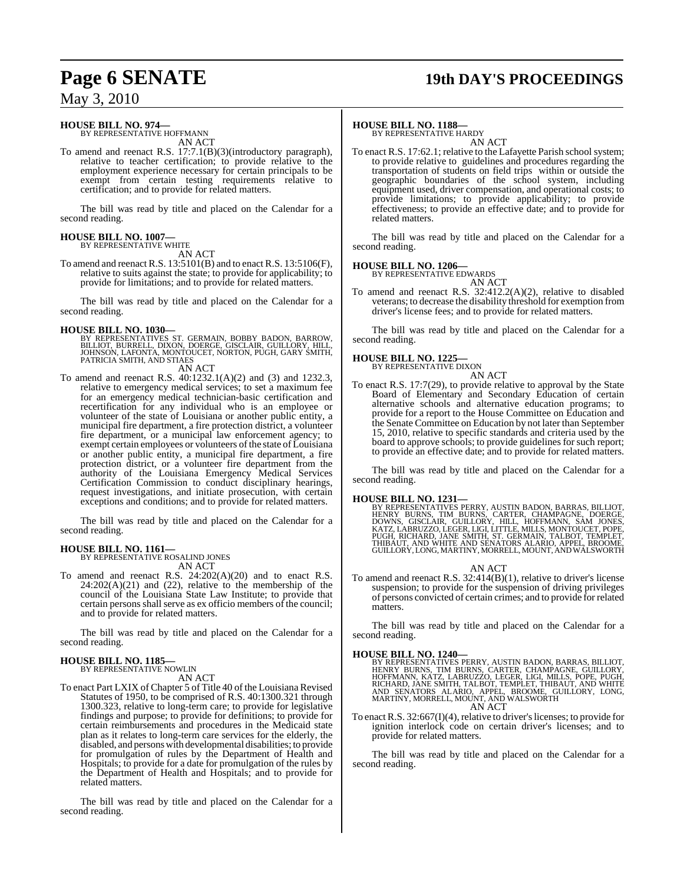### **Page 6 SENATE 19th DAY'S PROCEEDINGS**

### May 3, 2010

#### **HOUSE BILL NO. 974—** BY REPRESENTATIVE HOFFMANN

AN ACT

To amend and reenact R.S. 17:7.1(B)(3)(introductory paragraph), relative to teacher certification; to provide relative to the employment experience necessary for certain principals to be exempt from certain testing requirements relative to certification; and to provide for related matters.

The bill was read by title and placed on the Calendar for a second reading.

#### **HOUSE BILL NO. 1007—** BY REPRESENTATIVE WHITE

AN ACT

To amend and reenact R.S. 13:5101(B) and to enact R.S. 13:5106(F), relative to suits against the state; to provide for applicability; to provide for limitations; and to provide for related matters.

The bill was read by title and placed on the Calendar for a second reading.

#### **HOUSE BILL NO. 1030—**

BY REPRESENTATIVES ST. GERMAIN, BOBBY BADON, BARROW,<br>BILLIOT, BURRELL, DIXON, DOERGE, GISCLAIR, GUILLORY, HILL,<br>JOHNSON, LAFONTA, MONTOUCET, NORTON, PUGH, GARY SMITH,<br>PATRICIA SMITH, AND STIAES

AN ACT

To amend and reenact R.S. 40:1232.1(A)(2) and (3) and 1232.3, relative to emergency medical services; to set a maximum fee for an emergency medical technician-basic certification and recertification for any individual who is an employee or volunteer of the state of Louisiana or another public entity, a municipal fire department, a fire protection district, a volunteer fire department, or a municipal law enforcement agency; to exempt certain employees or volunteers of the state of Louisiana or another public entity, a municipal fire department, a fire protection district, or a volunteer fire department from the authority of the Louisiana Emergency Medical Services Certification Commission to conduct disciplinary hearings, request investigations, and initiate prosecution, with certain exceptions and conditions; and to provide for related matters.

The bill was read by title and placed on the Calendar for a second reading.

### **HOUSE BILL NO. 1161—** BY REPRESENTATIVE ROSALIND JONES

AN ACT

To amend and reenact R.S. 24:202(A)(20) and to enact R.S.  $24:202(A)(21)$  and  $(22)$ , relative to the membership of the council of the Louisiana State Law Institute; to provide that certain persons shall serve as ex officio members of the council; and to provide for related matters.

The bill was read by title and placed on the Calendar for a second reading.

#### **HOUSE BILL NO. 1185—** BY REPRESENTATIVE NOWLIN

AN ACT

To enact Part LXIX of Chapter 5 of Title 40 of the Louisiana Revised Statutes of 1950, to be comprised of R.S. 40:1300.321 through 1300.323, relative to long-term care; to provide for legislative findings and purpose; to provide for definitions; to provide for certain reimbursements and procedures in the Medicaid state plan as it relates to long-term care services for the elderly, the disabled, and persons with developmental disabilities; to provide for promulgation of rules by the Department of Health and Hospitals; to provide for a date for promulgation of the rules by the Department of Health and Hospitals; and to provide for related matters.

The bill was read by title and placed on the Calendar for a second reading.

#### **HOUSE BILL NO. 1188—**

BY REPRESENTATIVE HARDY AN ACT

To enact R.S. 17:62.1; relative to the Lafayette Parish school system; to provide relative to guidelines and procedures regarding the transportation of students on field trips within or outside the geographic boundaries of the school system, including equipment used, driver compensation, and operational costs; to provide limitations; to provide applicability; to provide effectiveness; to provide an effective date; and to provide for related matters.

The bill was read by title and placed on the Calendar for a second reading.

#### **HOUSE BILL NO. 1206—**

BY REPRESENTATIVE EDWARDS AN ACT

To amend and reenact R.S. 32:412.2(A)(2), relative to disabled veterans; to decrease the disability threshold for exemption from driver's license fees; and to provide for related matters.

The bill was read by title and placed on the Calendar for a second reading.

#### **HOUSE BILL NO. 1225—**



To enact R.S. 17:7(29), to provide relative to approval by the State Board of Elementary and Secondary Education of certain alternative schools and alternative education programs; to provide for a report to the House Committee on Education and the Senate Committee on Education by not later than September 15, 2010, relative to specific standards and criteria used by the board to approve schools; to provide guidelines for such report; to provide an effective date; and to provide for related matters.

The bill was read by title and placed on the Calendar for a second reading.

HOUSE BILL NO. 1231—<br>BY REPRESENTATIVES PERRY, AUSTIN BADON, BARRAS, BILLIOT,<br>HENRY BURNS, TIM BURNS, CARTER, CHAMPAGNE, DOERGE,<br>DOWNS, GISCLAIR, GUILLORY, HILL, HOFFMANN, SAM JONES,<br>KATZ, LABRUZZO, LEGER, LIGI, LITTLE, MI

#### AN ACT

To amend and reenact R.S. 32:414(B)(1), relative to driver's license suspension; to provide for the suspension of driving privileges of persons convicted of certain crimes; and to provide for related matters.

The bill was read by title and placed on the Calendar for a second reading.

**HOUSE BILL NO. 1240—**<br>BY REPRESENTATIVES PERRY, AUSTIN BADON, BARRAS, BILLIOT,<br>HENRY BURNS, TIM BURNS, CARTER, CHAMPAGNE, GUILLORY,<br>HOFFMANN, KATZ, LABRUZZO, LEGER, LIGI, MILLS, POPE, PUGH,<br>RICHARD, JANE SMITH, TALBOT, TE

To enact R.S.  $32:667(I)(4)$ , relative to driver's licenses; to provide for ignition interlock code on certain driver's licenses; and to provide for related matters.

The bill was read by title and placed on the Calendar for a second reading.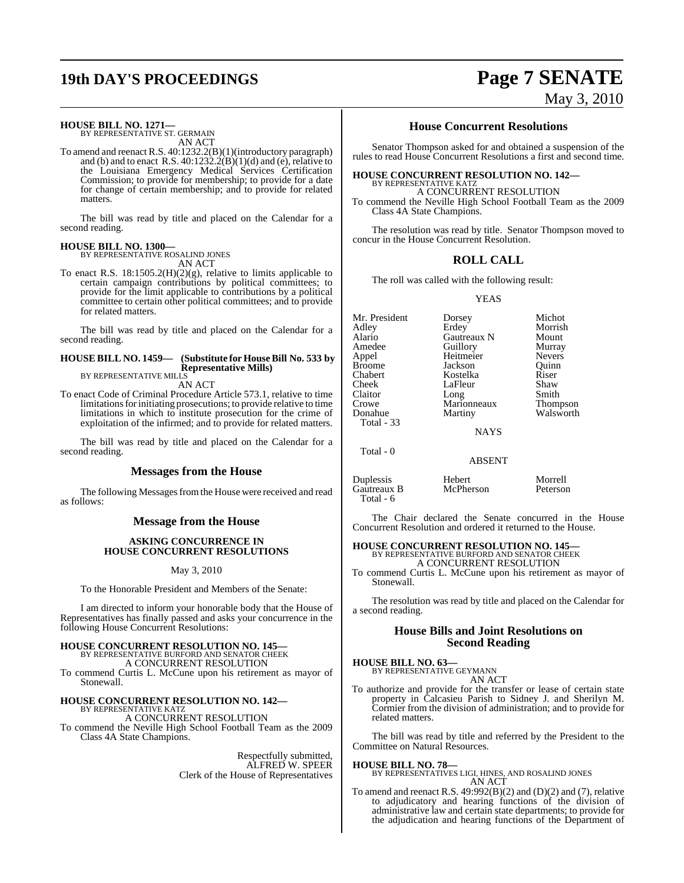# **19th DAY'S PROCEEDINGS Page 7 SENATE**

### **HOUSE BILL NO. 1271—** BY REPRESENTATIVE ST. GERMAIN

AN ACT

To amend and reenact R.S. 40:1232.2(B)(1)(introductory paragraph) and (b) and to enact R.S. 40:1232.2(B)(1)(d) and (e), relative to the Louisiana Emergency Medical Services Certification Commission; to provide for membership; to provide for a date for change of certain membership; and to provide for related matters.

The bill was read by title and placed on the Calendar for a second reading.

#### **HOUSE BILL NO. 1300—**

BY REPRESENTATIVE ROSALIND JONES AN ACT

To enact R.S. 18:1505.2(H)(2)(g), relative to limits applicable to certain campaign contributions by political committees; to provide for the limit applicable to contributions by a political committee to certain other political committees; and to provide for related matters.

The bill was read by title and placed on the Calendar for a second reading.

#### **HOUSE BILL NO. 1459— (Substitute for HouseBill No. 533 by Representative Mills)** BY REPRESENTATIVE MILLS

AN ACT

To enact Code of Criminal Procedure Article 573.1, relative to time limitations for initiating prosecutions; to provide relative to time limitations in which to institute prosecution for the crime of exploitation of the infirmed; and to provide for related matters.

The bill was read by title and placed on the Calendar for a second reading.

#### **Messages from the House**

The following Messages from the House were received and read as follows:

#### **Message from the House**

#### **ASKING CONCURRENCE IN HOUSE CONCURRENT RESOLUTIONS**

May 3, 2010

To the Honorable President and Members of the Senate:

I am directed to inform your honorable body that the House of Representatives has finally passed and asks your concurrence in the following House Concurrent Resolutions:

## **HOUSE CONCURRENT RESOLUTION NO. 145—** BY REPRESENTATIVE BURFORD AND SENATOR CHEEK

A CONCURRENT RESOLUTION

To commend Curtis L. McCune upon his retirement as mayor of Stonewall.

### **HOUSE CONCURRENT RESOLUTION NO. 142—** BY REPRESENTATIVE KATZ

A CONCURRENT RESOLUTION

To commend the Neville High School Football Team as the 2009 Class 4A State Champions.

> Respectfully submitted, ALFRED W. SPEER Clerk of the House of Representatives

### **House Concurrent Resolutions**

Senator Thompson asked for and obtained a suspension of the rules to read House Concurrent Resolutions a first and second time.

### **HOUSE CONCURRENT RESOLUTION NO. 142—**

BY REPRESENTATIVE KATZ A CONCURRENT RESOLUTION

To commend the Neville High School Football Team as the 2009 Class 4A State Champions.

The resolution was read by title. Senator Thompson moved to concur in the House Concurrent Resolution.

#### **ROLL CALL**

The roll was called with the following result:

YEAS

Mr. President Dorsey Michot Alario Gautreaux N Mount Amedee Guillory Murray<br>
Appel Heitmeier Nevers Appel Heitmeier Nevers Broome Jackson Quinn<br>Chabert Kostelka Riser Chabert Kostelka Riser Claitor Long Smith<br>Crowe Marionneaux Thompson Crowe Marionneaux<br>Donahue Martiny Total - 33

Morrish LaFleur Shaw<br>Long Smith Martiny Walsworth

**NAYS** 

ABSENT

Duplessis Hebert Morrell Gautreaux B Total - 6

Total - 0

The Chair declared the Senate concurred in the House Concurrent Resolution and ordered it returned to the House.

#### **HOUSE CONCURRENT RESOLUTION NO. 145—** BY REPRESENTATIVE BURFORD AND SENATOR CHEEK A CONCURRENT RESOLUTION

To commend Curtis L. McCune upon his retirement as mayor of Stonewall.

The resolution was read by title and placed on the Calendar for a second reading.

#### **House Bills and Joint Resolutions on Second Reading**

**HOUSE BILL NO. 63—**

BY REPRESENTATIVE GEYMANN AN ACT

To authorize and provide for the transfer or lease of certain state property in Calcasieu Parish to Sidney J. and Sherilyn M. Cormier from the division of administration; and to provide for related matters.

The bill was read by title and referred by the President to the Committee on Natural Resources.

#### **HOUSE BILL NO. 78—**

BY REPRESENTATIVES LIGI, HINES, AND ROSALIND JONES AN ACT

To amend and reenact R.S.  $49:992(B)(2)$  and  $(D)(2)$  and  $(7)$ , relative to adjudicatory and hearing functions of the division of administrative law and certain state departments; to provide for the adjudication and hearing functions of the Department of

May 3, 2010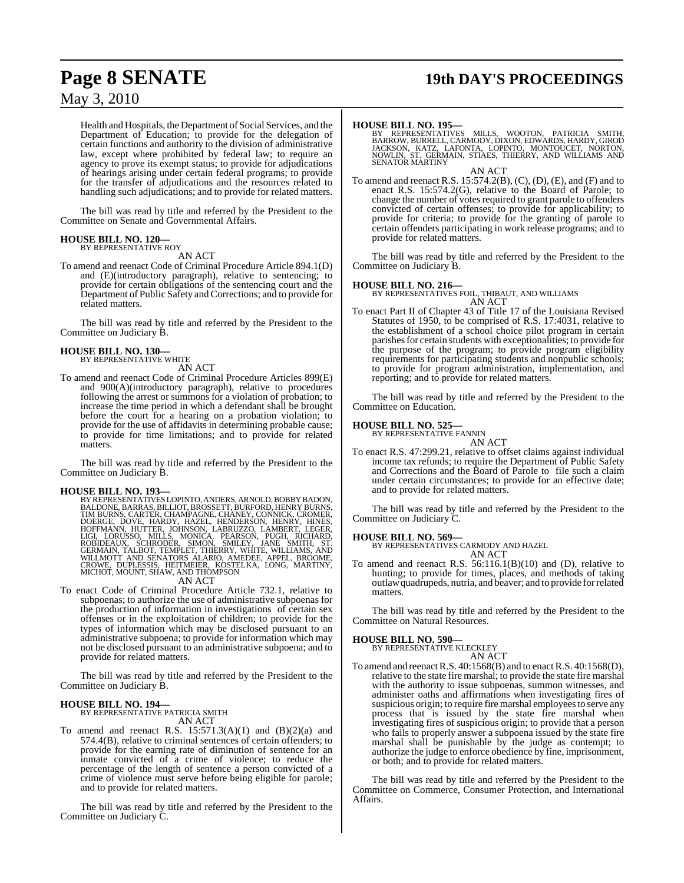## **Page 8 SENATE 19th DAY'S PROCEEDINGS**

### May 3, 2010

Health and Hospitals, the Department of Social Services, and the Department of Education; to provide for the delegation of certain functions and authority to the division of administrative law, except where prohibited by federal law; to require an agency to prove its exempt status; to provide for adjudications of hearings arising under certain federal programs; to provide for the transfer of adjudications and the resources related to handling such adjudications; and to provide for related matters.

The bill was read by title and referred by the President to the Committee on Senate and Governmental Affairs.

#### **HOUSE BILL NO. 120—** BY REPRESENTATIVE ROY

AN ACT

To amend and reenact Code of Criminal Procedure Article 894.1(D) and (E)(introductory paragraph), relative to sentencing; to provide for certain obligations of the sentencing court and the Department of Public Safety and Corrections; and to provide for related matters.

The bill was read by title and referred by the President to the Committee on Judiciary B.

## **HOUSE BILL NO. 130—** BY REPRESENTATIVE WHITE

- AN ACT
- To amend and reenact Code of Criminal Procedure Articles 899(E) and 900(A)(introductory paragraph), relative to procedures following the arrest or summons for a violation of probation; to increase the time period in which a defendant shall be brought before the court for a hearing on a probation violation; to provide for the use of affidavits in determining probable cause; to provide for time limitations; and to provide for related matters.

The bill was read by title and referred by the President to the Committee on Judiciary B.

HOUSE BILL NO. 193—<br>BY REPRESENTATIVES LOPINTO, ANDERS, ARNOLD, BOBBY BADON, BALDONE, BARRAS, BILLIOT, BROSSETT, BURFORD, HENRY BURNS, TIM BURNS, CARTER, CHAMPAGNE, CHANEY, CONNICK, CROMER, DODERGE, DOVE, HARDE, LIGIT, LOR

To enact Code of Criminal Procedure Article 732.1, relative to subpoenas; to authorize the use of administrative subpoenas for the production of information in investigations of certain sex offenses or in the exploitation of children; to provide for the types of information which may be disclosed pursuant to an administrative subpoena; to provide for information which may not be disclosed pursuant to an administrative subpoena; and to provide for related matters.

The bill was read by title and referred by the President to the Committee on Judiciary B.

**HOUSE BILL NO. 194—** BY REPRESENTATIVE PATRICIA SMITH AN ACT

To amend and reenact R.S.  $15:571.3(A)(1)$  and  $(B)(2)(a)$  and 574.4(B), relative to criminal sentences of certain offenders; to provide for the earning rate of diminution of sentence for an inmate convicted of a crime of violence; to reduce the percentage of the length of sentence a person convicted of a crime of violence must serve before being eligible for parole; and to provide for related matters.

The bill was read by title and referred by the President to the Committee on Judiciary C.

#### **HOUSE BILL NO. 195—**

BY REPRESENTATIVES MILLS, WOOTON, PATRICIA SMITH,<br>BARROW,BURRELL,CARMODY,DIXON,EDWARDS,HARDY,GIROD<br>JACKSON, KATZ, LAFONTA, LOPINTO, MONTOUCET, NORTON,<br>NOWLIN, ST. GERMAIN, STIAES,THIERRY, AND WILLIAMS AND<br>SENATOR.MARTINY AN ACT

To amend and reenact R.S. 15:574.2(B), (C), (D), (E), and (F) and to enact R.S. 15:574.2(G), relative to the Board of Parole; to change the number of votes required to grant parole to offenders convicted of certain offenses; to provide for applicability; to provide for criteria; to provide for the granting of parole to certain offenders participating in work release programs; and to provide for related matters.

The bill was read by title and referred by the President to the Committee on Judiciary B.

#### **HOUSE BILL NO. 216—**

BY REPRESENTATIVES FOIL, THIBAUT, AND WILLIAMS AN ACT

To enact Part II of Chapter 43 of Title 17 of the Louisiana Revised Statutes of 1950, to be comprised of R.S. 17:4031, relative to the establishment of a school choice pilot program in certain parishes for certain students with exceptionalities; to provide for the purpose of the program; to provide program eligibility requirements for participating students and nonpublic schools; to provide for program administration, implementation, and reporting; and to provide for related matters.

The bill was read by title and referred by the President to the Committee on Education.

#### **HOUSE BILL NO. 525—**

BY REPRESENTATIVE FANNIN AN ACT

To enact R.S. 47:299.21, relative to offset claims against individual income tax refunds; to require the Department of Public Safety and Corrections and the Board of Parole to file such a claim under certain circumstances; to provide for an effective date; and to provide for related matters.

The bill was read by title and referred by the President to the Committee on Judiciary C.

**HOUSE BILL NO. 569—** BY REPRESENTATIVES CARMODY AND HAZEL

AN ACT To amend and reenact R.S.  $56:116.1(B)(10)$  and (D), relative to hunting; to provide for times, places, and methods of taking outlaw quadrupeds, nutria, and beaver; and to provide for related matters.

The bill was read by title and referred by the President to the Committee on Natural Resources.

#### **HOUSE BILL NO. 590—**

BY REPRESENTATIVE KLECKLEY AN ACT

To amend and reenact R.S. 40:1568(B) and to enact R.S. 40:1568(D), relative to the state fire marshal; to provide the state fire marshal with the authority to issue subpoenas, summon witnesses, and administer oaths and affirmations when investigating fires of suspicious origin; to require fire marshal employees to serve any process that is issued by the state fire marshal when investigating fires of suspicious origin; to provide that a person who fails to properly answer a subpoena issued by the state fire marshal shall be punishable by the judge as contempt; to authorize the judge to enforce obedience by fine, imprisonment, or both; and to provide for related matters.

The bill was read by title and referred by the President to the Committee on Commerce, Consumer Protection, and International Affairs.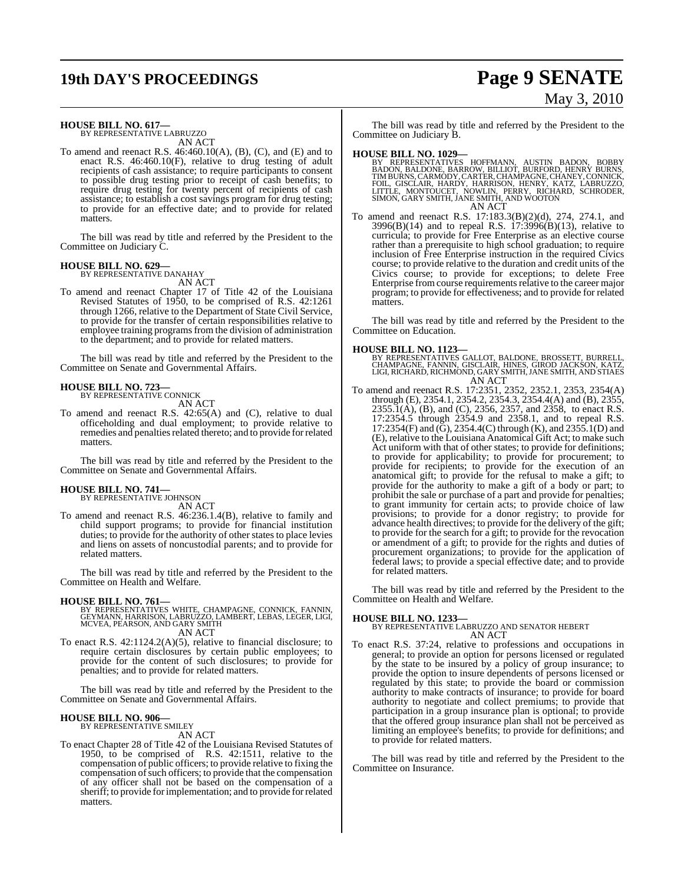# **19th DAY'S PROCEEDINGS Page 9 SENATE**

# May 3, 2010

### **HOUSE BILL NO. 617—** BY REPRESENTATIVE LABRUZZO

AN ACT

To amend and reenact R.S. 46:460.10(A), (B), (C), and (E) and to enact R.S. 46:460.10(F), relative to drug testing of adult recipients of cash assistance; to require participants to consent to possible drug testing prior to receipt of cash benefits; to require drug testing for twenty percent of recipients of cash assistance; to establish a cost savings program for drug testing; to provide for an effective date; and to provide for related matters.

The bill was read by title and referred by the President to the Committee on Judiciary C.

#### **HOUSE BILL NO. 629—**

BY REPRESENTATIVE DANAHAY AN ACT

To amend and reenact Chapter 17 of Title 42 of the Louisiana Revised Statutes of 1950, to be comprised of R.S. 42:1261 through 1266, relative to the Department of State Civil Service, to provide for the transfer of certain responsibilities relative to employee training programs from the division of administration to the department; and to provide for related matters.

The bill was read by title and referred by the President to the Committee on Senate and Governmental Affairs.

#### **HOUSE BILL NO. 723—**

BY REPRESENTATIVE CONNICK AN ACT

To amend and reenact R.S. 42:65(A) and (C), relative to dual officeholding and dual employment; to provide relative to remedies and penalties related thereto; and to provide for related matters.

The bill was read by title and referred by the President to the Committee on Senate and Governmental Affairs.

### **HOUSE BILL NO. 741—** BY REPRESENTATIVE JOHNSON

AN ACT

To amend and reenact R.S. 46:236.1.4(B), relative to family and child support programs; to provide for financial institution duties; to provide for the authority of other states to place levies and liens on assets of noncustodial parents; and to provide for related matters.

The bill was read by title and referred by the President to the Committee on Health and Welfare.

#### **HOUSE BILL NO. 761—**

BY REPRESENTATIVES WHITE, CHAMPAGNE, CONNICK, FANNIN,<br>GEYMANN, HARRISON, LABRUZZO, LAMBERT, LEBAS, LEGER, LIGI,<br>MCVEA, PEARSON, AND GARY SMITH AN ACT

To enact R.S. 42:1124.2(A)(5), relative to financial disclosure; to require certain disclosures by certain public employees; to provide for the content of such disclosures; to provide for penalties; and to provide for related matters.

The bill was read by title and referred by the President to the Committee on Senate and Governmental Affairs.

#### **HOUSE BILL NO. 906—**

BY REPRESENTATIVE SMILEY

AN ACT

To enact Chapter 28 of Title 42 of the Louisiana Revised Statutes of 1950, to be comprised of R.S. 42:1511, relative to the compensation of public officers; to provide relative to fixing the compensation of such officers; to provide that the compensation of any officer shall not be based on the compensation of a sheriff; to provide for implementation; and to provide for related matters.

The bill was read by title and referred by the President to the Committee on Judiciary B.

- **HOUSE BILL NO. 1029—**<br>BY REPRESENTATIVES HOFFMANN, AUSTIN BADON, BOBBY RADON, BALDONE, BARROW, BILLIOT, BURFORD, HENRY BURNS, TIMBURNS, CARMODY, CARTER, CHAMPAGNE, CHANEY, CONNICK, FOIL, GISCLAIR, HARDY, HARRISON, HENRY, AN ACT
- To amend and reenact R.S. 17:183.3(B)(2)(d), 274, 274.1, and 3996(B)(14) and to repeal R.S. 17:3996(B)(13), relative to curricula; to provide for Free Enterprise as an elective course rather than a prerequisite to high school graduation; to require inclusion of Free Enterprise instruction in the required Civics course; to provide relative to the duration and credit units of the Civics course; to provide for exceptions; to delete Free Enterprise from course requirements relative to the career major program; to provide for effectiveness; and to provide for related matters.

The bill was read by title and referred by the President to the Committee on Education.

#### **HOUSE BILL NO. 1123—**

- BY REPRESENTATIVES GALLOT, BALDONE, BROSSETT, BURRELL,<br>CHAMPAGNE, FANNIN, GISCLAIR, HINES, GIROD JACKSON, KATZ,<br>LIGI, RICHARD, RICHMOND, GARY SMITH, JANE SMITH, AND STIAES<br>AN ACT
- To amend and reenact R.S. 17:2351, 2352, 2352.1, 2353, 2354(A) through (E), 2354.1, 2354.2, 2354.3, 2354.4(A) and (B), 2355, 2355.1(A), (B), and (C), 2356, 2357, and 2358, to enact R.S. 17:2354.5 through 2354.9 and 2358.1, and to repeal R.S. 17:2354(F) and (G), 2354.4(C) through (K), and 2355.1(D) and (E), relative to the Louisiana Anatomical Gift Act; to make such Act uniform with that of other states; to provide for definitions; to provide for applicability; to provide for procurement; to provide for recipients; to provide for the execution of an anatomical gift; to provide for the refusal to make a gift; to provide for the authority to make a gift of a body or part; to prohibit the sale or purchase of a part and provide for penalties; to grant immunity for certain acts; to provide choice of law provisions; to provide for a donor registry; to provide for advance health directives; to provide for the delivery of the gift; to provide for the search for a gift; to provide for the revocation or amendment of a gift; to provide for the rights and duties of procurement organizations; to provide for the application of federal laws; to provide a special effective date; and to provide for related matters.

The bill was read by title and referred by the President to the Committee on Health and Welfare.

**HOUSE BILL NO. 1233—** BY REPRESENTATIVE LABRUZZO AND SENATOR HEBERT AN ACT

To enact R.S. 37:24, relative to professions and occupations in general; to provide an option for persons licensed or regulated by the state to be insured by a policy of group insurance; to provide the option to insure dependents of persons licensed or regulated by this state; to provide the board or commission authority to make contracts of insurance; to provide for board authority to negotiate and collect premiums; to provide that participation in a group insurance plan is optional; to provide that the offered group insurance plan shall not be perceived as limiting an employee's benefits; to provide for definitions; and to provide for related matters.

The bill was read by title and referred by the President to the Committee on Insurance.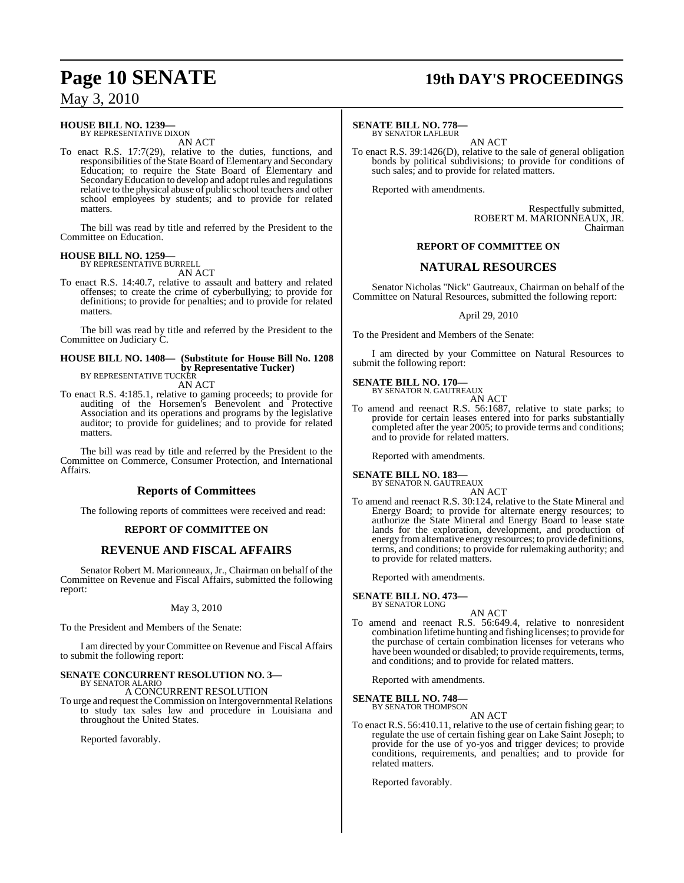### **HOUSE BILL NO. 1239—**

BY REPRESENTATIVE DIXON AN ACT

To enact R.S. 17:7(29), relative to the duties, functions, and responsibilities of the State Board of Elementary and Secondary Education; to require the State Board of Elementary and SecondaryEducation to develop and adoptrules and regulations relative to the physical abuse of public school teachers and other school employees by students; and to provide for related matters.

The bill was read by title and referred by the President to the Committee on Education.

#### **HOUSE BILL NO. 1259—** BY REPRESENTATIVE BURRELL

AN ACT

To enact R.S. 14:40.7, relative to assault and battery and related offenses; to create the crime of cyberbullying; to provide for definitions; to provide for penalties; and to provide for related matters.

The bill was read by title and referred by the President to the Committee on Judiciary C.

#### **HOUSE BILL NO. 1408— (Substitute for House Bill No. 1208 by Representative Tucker)** BY REPRESENTATIVE TUCKER

AN ACT

To enact R.S. 4:185.1, relative to gaming proceeds; to provide for auditing of the Horsemen's Benevolent and Protective Association and its operations and programs by the legislative auditor; to provide for guidelines; and to provide for related matters.

The bill was read by title and referred by the President to the Committee on Commerce, Consumer Protection, and International Affairs.

### **Reports of Committees**

The following reports of committees were received and read:

#### **REPORT OF COMMITTEE ON**

### **REVENUE AND FISCAL AFFAIRS**

Senator Robert M. Marionneaux, Jr., Chairman on behalf of the Committee on Revenue and Fiscal Affairs, submitted the following report:

#### May 3, 2010

To the President and Members of the Senate:

I am directed by your Committee on Revenue and Fiscal Affairs to submit the following report:

# **SENATE CONCURRENT RESOLUTION NO. 3—** BY SENATOR ALARIO

A CONCURRENT RESOLUTION

To urge and request the Commission on Intergovernmental Relations to study tax sales law and procedure in Louisiana and throughout the United States.

Reported favorably.

# **Page 10 SENATE 19th DAY'S PROCEEDINGS**

#### **SENATE BILL NO. 778—**

BY SENATOR LAFLEUR

AN ACT To enact R.S. 39:1426(D), relative to the sale of general obligation bonds by political subdivisions; to provide for conditions of such sales; and to provide for related matters.

Reported with amendments.

Respectfully submitted, ROBERT M. MARIONNEAUX, JR. Chairman

#### **REPORT OF COMMITTEE ON**

### **NATURAL RESOURCES**

Senator Nicholas "Nick" Gautreaux, Chairman on behalf of the Committee on Natural Resources, submitted the following report:

April 29, 2010

To the President and Members of the Senate:

I am directed by your Committee on Natural Resources to submit the following report:

#### **SENATE BILL NO. 170—** BY SENATOR N. GAUTREAUX

AN ACT

To amend and reenact R.S. 56:1687, relative to state parks; to provide for certain leases entered into for parks substantially completed after the year 2005; to provide terms and conditions; and to provide for related matters.

Reported with amendments.

#### **SENATE BILL NO. 183—** BY SENATOR N. GAUTREAUX

AN ACT

To amend and reenact R.S. 30:124, relative to the State Mineral and Energy Board; to provide for alternate energy resources; to authorize the State Mineral and Energy Board to lease state lands for the exploration, development, and production of energy fromalternative energy resources; to provide definitions, terms, and conditions; to provide for rulemaking authority; and to provide for related matters.

Reported with amendments.

### **SENATE BILL NO. 473—**

BY SENATOR LONG

AN ACT To amend and reenact R.S. 56:649.4, relative to nonresident combination lifetime hunting and fishing licenses; to provide for the purchase of certain combination licenses for veterans who have been wounded or disabled; to provide requirements, terms, and conditions; and to provide for related matters.

Reported with amendments.

# **SENATE BILL NO. 748—**<br>BY SENATOR THOMPSON

AN ACT

To enact R.S. 56:410.11, relative to the use of certain fishing gear; to regulate the use of certain fishing gear on Lake Saint Joseph; to provide for the use of yo-yos and trigger devices; to provide conditions, requirements, and penalties; and to provide for related matters.

Reported favorably.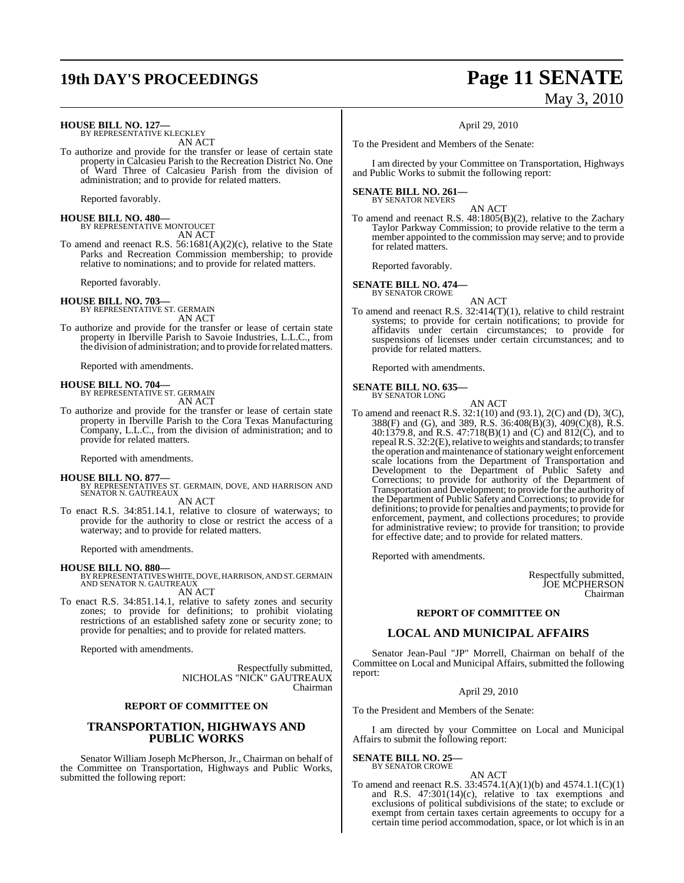### **HOUSE BILL NO. 127—** BY REPRESENTATIVE KLECKLEY

AN ACT

To authorize and provide for the transfer or lease of certain state property in Calcasieu Parish to the Recreation District No. One of Ward Three of Calcasieu Parish from the division of administration; and to provide for related matters.

Reported favorably.

**HOUSE BILL NO. 480—** BY REPRESENTATIVE MONTOUCET

AN ACT To amend and reenact R.S. 56:1681(A)(2)(c), relative to the State Parks and Recreation Commission membership; to provide relative to nominations; and to provide for related matters.

Reported favorably.

**HOUSE BILL NO. 703—** BY REPRESENTATIVE ST. GERMAIN AN ACT

To authorize and provide for the transfer or lease of certain state property in Iberville Parish to Savoie Industries, L.L.C., from the division of administration; and to provide forrelatedmatters.

Reported with amendments.

**HOUSE BILL NO. 704—** BY REPRESENTATIVE ST. GERMAIN

AN ACT

To authorize and provide for the transfer or lease of certain state property in Iberville Parish to the Cora Texas Manufacturing Company, L.L.C., from the division of administration; and to provide for related matters.

Reported with amendments.

- **HOUSE BILL NO. 877—** BY REPRESENTATIVES ST. GERMAIN, DOVE, AND HARRISON AND SENATOR N. GAUTREAUX AN ACT
- To enact R.S. 34:851.14.1, relative to closure of waterways; to provide for the authority to close or restrict the access of a waterway; and to provide for related matters.

Reported with amendments.

**HOUSE BILL NO. 880—** BY REPRESENTATIVESWHITE, DOVE, HARRISON, AND ST. GERMAIN AND SENATOR N. GAUTREAUX

AN ACT

To enact R.S. 34:851.14.1, relative to safety zones and security zones; to provide for definitions; to prohibit violating restrictions of an established safety zone or security zone; to provide for penalties; and to provide for related matters.

Reported with amendments.

Respectfully submitted, NICHOLAS "NICK" GAUTREAUX Chairman

#### **REPORT OF COMMITTEE ON**

#### **TRANSPORTATION, HIGHWAYS AND PUBLIC WORKS**

Senator William Joseph McPherson, Jr., Chairman on behalf of the Committee on Transportation, Highways and Public Works, submitted the following report:

## **19th DAY'S PROCEEDINGS Page 11 SENATE** May 3, 2010

April 29, 2010

To the President and Members of the Senate:

I am directed by your Committee on Transportation, Highways and Public Works to submit the following report:

#### **SENATE BILL NO. 261—** BY SENATOR NEVERS

AN ACT

To amend and reenact R.S. 48:1805(B)(2), relative to the Zachary Taylor Parkway Commission; to provide relative to the term a member appointed to the commission may serve; and to provide for related matters.

Reported favorably.

#### **SENATE BILL NO. 474—** BY SENATOR CROWE

AN ACT

To amend and reenact R.S. 32:414(T)(1), relative to child restraint systems; to provide for certain notifications; to provide for affidavits under certain circumstances; to provide for suspensions of licenses under certain circumstances; and to provide for related matters.

Reported with amendments.

**SENATE BILL NO. 635—**

BY SENATOR LONG AN ACT

To amend and reenact R.S. 32:1(10) and (93.1), 2(C) and (D), 3(C), 388(F) and (G), and 389, R.S. 36:408(B)(3), 409(C)(8), R.S. 40:1379.8, and R.S. 47:718(B)(1) and  $(C)$  and 812(C), and to repeal R.S. 32:2(E), relative to weights and standards; to transfer the operation and maintenance of stationary weight enforcement scale locations from the Department of Transportation and Development to the Department of Public Safety and Corrections; to provide for authority of the Department of Transportation and Development; to provide for the authority of the Department of Public Safety and Corrections; to provide for definitions; to provide for penalties and payments; to provide for enforcement, payment, and collections procedures; to provide for administrative review; to provide for transition; to provide for effective date; and to provide for related matters.

Reported with amendments.

Respectfully submitted, JOE MCPHERSON Chairman

#### **REPORT OF COMMITTEE ON**

#### **LOCAL AND MUNICIPAL AFFAIRS**

Senator Jean-Paul "JP" Morrell, Chairman on behalf of the Committee on Local and Municipal Affairs, submitted the following report:

April 29, 2010

To the President and Members of the Senate:

I am directed by your Committee on Local and Municipal Affairs to submit the following report:

**SENATE BILL NO. 25—** BY SENATOR CROWE

#### AN ACT

To amend and reenact R.S. 33:4574.1(A)(1)(b) and 4574.1.1(C)(1) and R.S. 47:301(14)(c), relative to tax exemptions and exclusions of political subdivisions of the state; to exclude or exempt from certain taxes certain agreements to occupy for a certain time period accommodation, space, or lot which is in an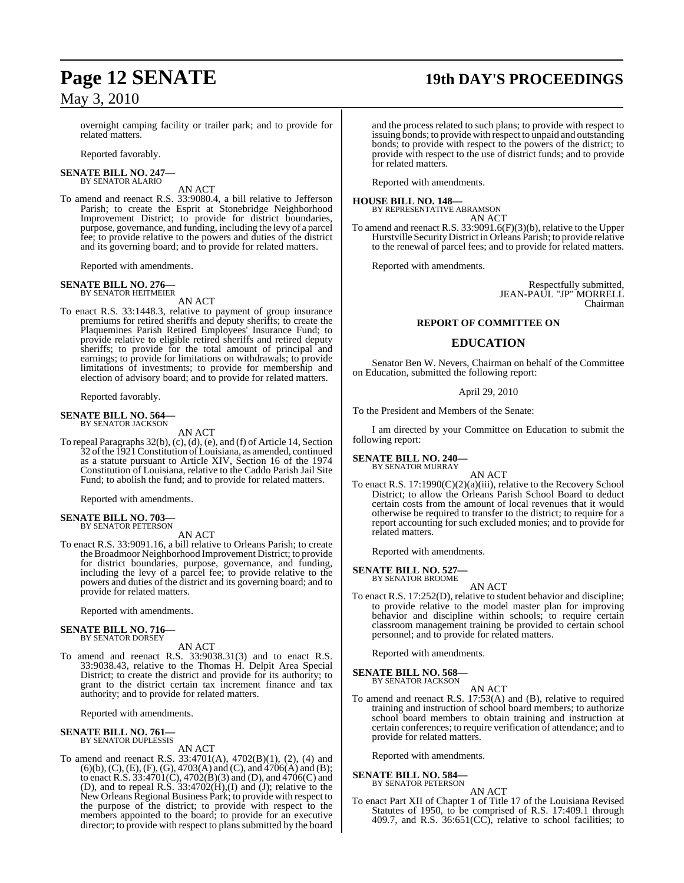# **Page 12 SENATE 19th DAY'S PROCEEDINGS**

### May 3, 2010

overnight camping facility or trailer park; and to provide for related matters.

Reported favorably.

#### **SENATE BILL NO. 247—** BY SENATOR ALARIO

AN ACT

To amend and reenact R.S. 33:9080.4, a bill relative to Jefferson Parish; to create the Esprit at Stonebridge Neighborhood Improvement District; to provide for district boundaries, purpose, governance, and funding, including the levy of a parcel fee; to provide relative to the powers and duties of the district and its governing board; and to provide for related matters.

Reported with amendments.

#### **SENATE BILL NO. 276—** BY SENATOR HEITMEIER

AN ACT

To enact R.S. 33:1448.3, relative to payment of group insurance premiums for retired sheriffs and deputy sheriffs; to create the Plaquemines Parish Retired Employees' Insurance Fund; to provide relative to eligible retired sheriffs and retired deputy sheriffs; to provide for the total amount of principal and earnings; to provide for limitations on withdrawals; to provide limitations of investments; to provide for membership and election of advisory board; and to provide for related matters.

Reported favorably.

### **SENATE BILL NO. 564—** BY SENATOR JACKSON

AN ACT

To repeal Paragraphs 32(b), (c), (d), (e), and (f) of Article 14, Section 32 ofthe 1921Constitution ofLouisiana, as amended, continued as a statute pursuant to Article XIV, Section 16 of the 1974 Constitution of Louisiana, relative to the Caddo Parish Jail Site Fund; to abolish the fund; and to provide for related matters.

Reported with amendments.

#### **SENATE BILL NO. 703—** BY SENATOR PETERSON

AN ACT

To enact R.S. 33:9091.16, a bill relative to Orleans Parish; to create the Broadmoor Neighborhood Improvement District; to provide for district boundaries, purpose, governance, and funding, including the levy of a parcel fee; to provide relative to the powers and duties of the district and its governing board; and to provide for related matters.

Reported with amendments.

#### **SENATE BILL NO. 716—** BY SENATOR DORSEY

AN ACT

To amend and reenact R.S. 33:9038.31(3) and to enact R.S. 33:9038.43, relative to the Thomas H. Delpit Area Special District; to create the district and provide for its authority; to grant to the district certain tax increment finance and tax authority; and to provide for related matters.

Reported with amendments.

#### **SENATE BILL NO. 761—**

BY SENATOR DUPLESSIS

AN ACT To amend and reenact R.S. 33:4701(A), 4702(B)(1), (2), (4) and (6)(b), (C), (E), (F), (G), 4703(A) and (C), and 4706(A) and (B); to enact R.S. 33:4701(C), 4702(B)(3) and (D), and 4706(C) and (D), and to repeal R.S.  $33:4702(H), (I)$  and  $(J)$ ; relative to the New Orleans Regional Business Park; to provide with respect to the purpose of the district; to provide with respect to the members appointed to the board; to provide for an executive director; to provide with respect to plans submitted by the board

and the process related to such plans; to provide with respect to issuing bonds; to provide with respect to unpaid and outstanding bonds; to provide with respect to the powers of the district; to provide with respect to the use of district funds; and to provide for related matters.

Reported with amendments.

### **HOUSE BILL NO. 148—** BY REPRESENTATIVE ABRAMSON

AN ACT

To amend and reenact R.S. 33:9091.6(F)(3)(b), relative to the Upper Hurstville SecurityDistrict in Orleans Parish; to provide relative to the renewal of parcel fees; and to provide for related matters.

Reported with amendments.

Respectfully submitted, JEAN-PAUL "JP" MORRELL Chairman

#### **REPORT OF COMMITTEE ON**

#### **EDUCATION**

Senator Ben W. Nevers, Chairman on behalf of the Committee on Education, submitted the following report:

#### April 29, 2010

To the President and Members of the Senate:

I am directed by your Committee on Education to submit the following report:

#### **SENATE BILL NO. 240—** BY SENATOR MURRAY

AN ACT

To enact R.S. 17:1990(C)(2)(a)(iii), relative to the Recovery School District; to allow the Orleans Parish School Board to deduct certain costs from the amount of local revenues that it would otherwise be required to transfer to the district; to require for a report accounting for such excluded monies; and to provide for related matters.

Reported with amendments.

#### **SENATE BILL NO. 527—**

BY SENATOR BROOME AN ACT

To enact R.S. 17:252(D), relative to student behavior and discipline; to provide relative to the model master plan for improving behavior and discipline within schools; to require certain classroom management training be provided to certain school personnel; and to provide for related matters.

Reported with amendments.

#### **SENATE BILL NO. 568—**

BY SENATOR JACKSON

AN ACT To amend and reenact R.S. 17:53(A) and (B), relative to required training and instruction of school board members; to authorize school board members to obtain training and instruction at certain conferences; to require verification of attendance; and to provide for related matters.

Reported with amendments.

#### **SENATE BILL NO. 584**

BY SENATOR PETERSON AN ACT

To enact Part XII of Chapter 1 of Title 17 of the Louisiana Revised Statutes of 1950, to be comprised of R.S. 17:409.1 through 409.7, and R.S.  $36:651(CC)$ , relative to school facilities; to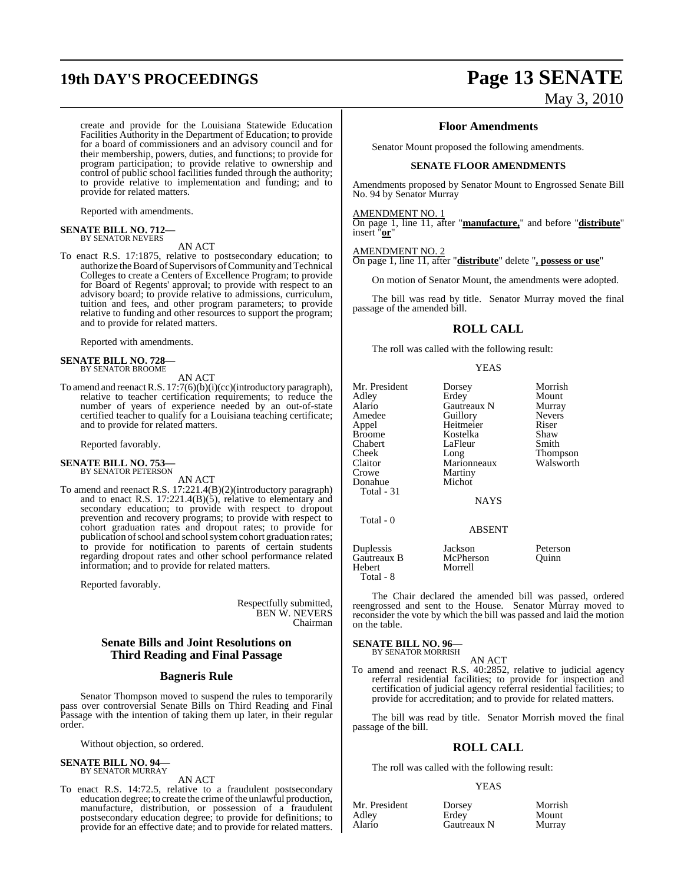# **19th DAY'S PROCEEDINGS Page 13 SENATE**

create and provide for the Louisiana Statewide Education Facilities Authority in the Department of Education; to provide for a board of commissioners and an advisory council and for their membership, powers, duties, and functions; to provide for program participation; to provide relative to ownership and control of public school facilities funded through the authority; to provide relative to implementation and funding; and to provide for related matters.

Reported with amendments.

### **SENATE BILL NO. 712—** BY SENATOR NEVERS

AN ACT

To enact R.S. 17:1875, relative to postsecondary education; to authorize the Board of Supervisors of Community and Technical Colleges to create a Centers of Excellence Program; to provide for Board of Regents' approval; to provide with respect to an advisory board; to provide relative to admissions, curriculum, tuition and fees, and other program parameters; to provide relative to funding and other resources to support the program; and to provide for related matters.

Reported with amendments.

#### **SENATE BILL NO. 728—** BY SENATOR BROOME

AN ACT

To amend and reenactR.S. 17:7(6)(b)(i)(cc)(introductory paragraph), relative to teacher certification requirements; to reduce the number of years of experience needed by an out-of-state certified teacher to qualify for a Louisiana teaching certificate; and to provide for related matters.

Reported favorably.

#### **SENATE BILL NO. 753—** BY SENATOR PETERSON

AN ACT

To amend and reenact R.S. 17:221.4(B)(2)(introductory paragraph) and to enact R.S. 17:221.4(B)(5), relative to elementary and secondary education; to provide with respect to dropout prevention and recovery programs; to provide with respect to cohort graduation rates and dropout rates; to provide for publication of school and school system cohort graduation rates; to provide for notification to parents of certain students regarding dropout rates and other school performance related information; and to provide for related matters.

Reported favorably.

Respectfully submitted, BEN W. NEVERS Chairman

#### **Senate Bills and Joint Resolutions on Third Reading and Final Passage**

#### **Bagneris Rule**

Senator Thompson moved to suspend the rules to temporarily pass over controversial Senate Bills on Third Reading and Final Passage with the intention of taking them up later, in their regular order.

Without objection, so ordered.

#### **SENATE BILL NO. 94—** BY SENATOR MURRAY

AN ACT

To enact R.S. 14:72.5, relative to a fraudulent postsecondary education degree; to create the crime of the unlawful production, manufacture, distribution, or possession of a fraudulent postsecondary education degree; to provide for definitions; to provide for an effective date; and to provide for related matters.

# May 3, 2010

#### **Floor Amendments**

Senator Mount proposed the following amendments.

#### **SENATE FLOOR AMENDMENTS**

Amendments proposed by Senator Mount to Engrossed Senate Bill No. 94 by Senator Murray

#### AMENDMENT NO. 1

On page 1, line 11, after "**manufacture,**" and before "**distribute**" insert "**or**"

#### AMENDMENT NO. 2

On page 1, line 11, after "**distribute**" delete "**, possess or use**"

On motion of Senator Mount, the amendments were adopted.

The bill was read by title. Senator Murray moved the final passage of the amended bill.

### **ROLL CALL**

The roll was called with the following result:

YEAS

| Mr. President | Dorsey        | Morrish       |
|---------------|---------------|---------------|
| Adlev         | Erdey         | Mount         |
| Alario        | Gautreaux N   | Murray        |
| Amedee        | Guillory      | <b>Nevers</b> |
| Appel         | Heitmeier     | Riser         |
| Broome        | Kostelka      | Shaw          |
| Chabert       | LaFleur       | Smith         |
| Cheek         | Long          | Thompson      |
| Claitor       | Marionneaux   | Walsworth     |
| Crowe         | Martiny       |               |
| Donahue       | Michot        |               |
| Total - 31    |               |               |
|               | <b>NAYS</b>   |               |
|               |               |               |
| Total - 0     |               |               |
|               | <b>ABSENT</b> |               |
| Duplessis     | Jackson       | Peterson      |
| Gautreaux B   | McPherson     | Quinn         |
| Hebert        | Morrell       |               |
| Total - 8     |               |               |
|               |               |               |

The Chair declared the amended bill was passed, ordered reengrossed and sent to the House. Senator Murray moved to reconsider the vote by which the bill was passed and laid the motion on the table.

#### **SENATE BILL NO. 96—**

BY SENATOR MORRISH

AN ACT To amend and reenact R.S. 40:2852, relative to judicial agency referral residential facilities; to provide for inspection and certification of judicial agency referral residential facilities; to provide for accreditation; and to provide for related matters.

The bill was read by title. Senator Morrish moved the final passage of the bill.

#### **ROLL CALL**

The roll was called with the following result:

#### YEAS

| Mr. President | Dorsey      | Morrish |
|---------------|-------------|---------|
| Adley         | Erdev       | Mount   |
| Alario        | Gautreaux N | Murray  |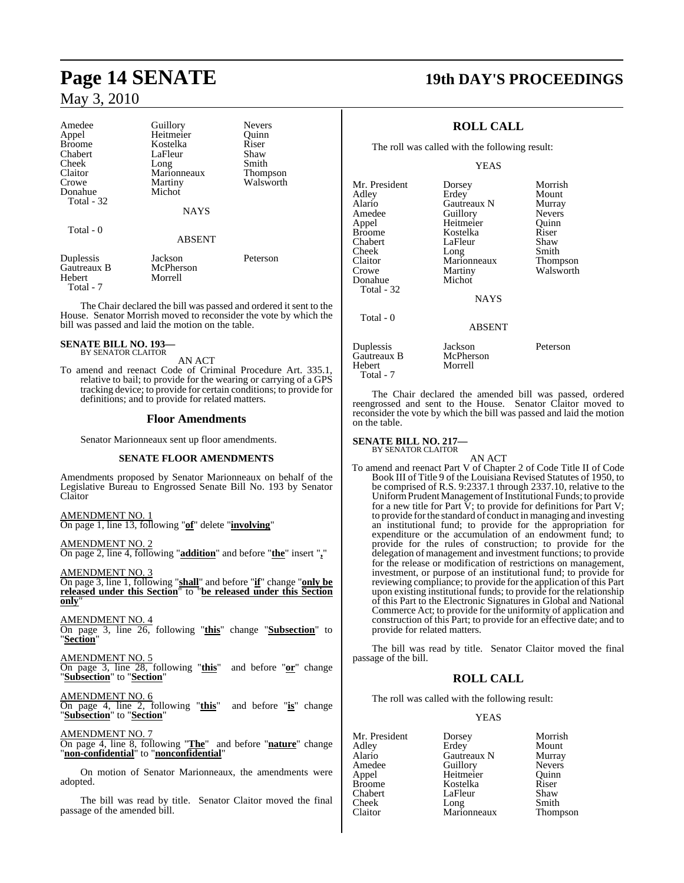| Amedee<br>Appel<br><b>Broome</b><br>Chabert<br>Cheek<br>Claitor<br>Crowe<br>Donahue<br><b>Total - 32</b> | Guillory<br>Heitmeier<br>Kostelka<br>LaFleur<br>Long<br>Marionneaux<br>Martiny<br>Michot<br><b>NAYS</b> | <b>Nevers</b><br>Quinn<br>Riser<br>Shaw<br>Smith<br><b>Thompson</b><br>Walsworth |
|----------------------------------------------------------------------------------------------------------|---------------------------------------------------------------------------------------------------------|----------------------------------------------------------------------------------|
| Total - 0                                                                                                | <b>ABSENT</b>                                                                                           |                                                                                  |
| Duplessis<br>Gautreaux B<br>Hebert                                                                       | Jackson<br>McPherson<br>Morrell                                                                         | Peterson                                                                         |

The Chair declared the bill was passed and ordered it sent to the House. Senator Morrish moved to reconsider the vote by which the bill was passed and laid the motion on the table.

#### **SENATE BILL NO. 193** BY SENATOR CLAITOR

Total - 7

AN ACT

To amend and reenact Code of Criminal Procedure Art. 335.1, relative to bail; to provide for the wearing or carrying of a GPS tracking device; to provide for certain conditions; to provide for definitions; and to provide for related matters.

#### **Floor Amendments**

Senator Marionneaux sent up floor amendments.

#### **SENATE FLOOR AMENDMENTS**

Amendments proposed by Senator Marionneaux on behalf of the Legislative Bureau to Engrossed Senate Bill No. 193 by Senator Claitor

AMENDMENT NO. 1 On page 1, line 13, following "**of**" delete "**involving**"

AMENDMENT NO. 2 On page 2, line 4, following "**addition**" and before "**the**" insert "**,**"

AMENDMENT NO. 3 On page 3, line 1, following "**shall**" and before "**if**" change "**only be released under this Section**" to "**be released under this Section only**"

AMENDMENT NO. 4 On page 3, line 26, following "**this**" change "**Subsection**" to "**Section**"

AMENDMENT NO. 5 On page 3, line 28, following "**this**" and before "**or**" change "**Subsection**" to "**Section**"

AMENDMENT NO. 6 On page 4, line 2, following "**this**" and before "**is**" change "**Subsection**" to "**Section**"

#### AMENDMENT NO. 7

On page 4, line 8, following "**The**" and before "**nature**" change "**non-confidential**" to "**nonconfidential**"

On motion of Senator Marionneaux, the amendments were adopted.

The bill was read by title. Senator Claitor moved the final passage of the amended bill.

### **Page 14 SENATE 19th DAY'S PROCEEDINGS**

### **ROLL CALL**

The roll was called with the following result:

YEAS

| Mr. President | Dorsey        | Morrish       |
|---------------|---------------|---------------|
| Adley         | Erdey         | Mount         |
| Alario        | Gautreaux N   | Murray        |
| Amedee        | Guillory      | <b>Nevers</b> |
| Appel         | Heitmeier     | Ouinn         |
| <b>Broome</b> | Kostelka      | Riser         |
| Chabert       | LaFleur       | Shaw          |
| Cheek         | Long          | Smith         |
| Claitor       | Marionneaux   | Thompson      |
| Crowe         | Martiny       | Walsworth     |
| Donahue       | Michot        |               |
| Total - 32    |               |               |
|               | <b>NAYS</b>   |               |
| Total - 0     |               |               |
|               | <b>ABSENT</b> |               |
| Duplessis     | Jackson       | Peterson      |
| Gautreaux B   | McPherson     |               |
| Hebert        | Morrell       |               |

The Chair declared the amended bill was passed, ordered reengrossed and sent to the House. Senator Claitor moved to reconsider the vote by which the bill was passed and laid the motion on the table.

### **SENATE BILL NO. 217—** BY SENATOR CLAITOR

Total - 7

AN ACT

To amend and reenact Part V of Chapter 2 of Code Title II of Code Book III of Title 9 of the Louisiana Revised Statutes of 1950, to be comprised of R.S. 9:2337.1 through 2337.10, relative to the Uniform Prudent Management of Institutional Funds; to provide for a new title for Part  $\breve{V}$ ; to provide for definitions for Part V; to provide forthe standard of conduct in managing and investing an institutional fund; to provide for the appropriation for expenditure or the accumulation of an endowment fund; to provide for the rules of construction; to provide for the delegation of management and investment functions; to provide for the release or modification of restrictions on management, investment, or purpose of an institutional fund; to provide for reviewing compliance; to provide for the application of this Part upon existing institutional funds; to provide for the relationship of this Part to the Electronic Signatures in Global and National Commerce Act; to provide for the uniformity of application and construction of this Part; to provide for an effective date; and to provide for related matters.

The bill was read by title. Senator Claitor moved the final passage of the bill.

#### **ROLL CALL**

The roll was called with the following result:

#### YEAS

| Mr. President | Dorsey      | Morrish       |
|---------------|-------------|---------------|
| Adley         | Erdey       | Mount         |
| Alario        | Gautreaux N | Murray        |
| Amedee        | Guillory    | <b>Nevers</b> |
| Appel         | Heitmeier   | Ouinn         |
| <b>Broome</b> | Kostelka    | Riser         |
| Chabert       | LaFleur     | Shaw          |
| Cheek         | Long        | Smith         |
| Claitor       | Marionneaux | <b>Thomps</b> |

Marionneaux Thompson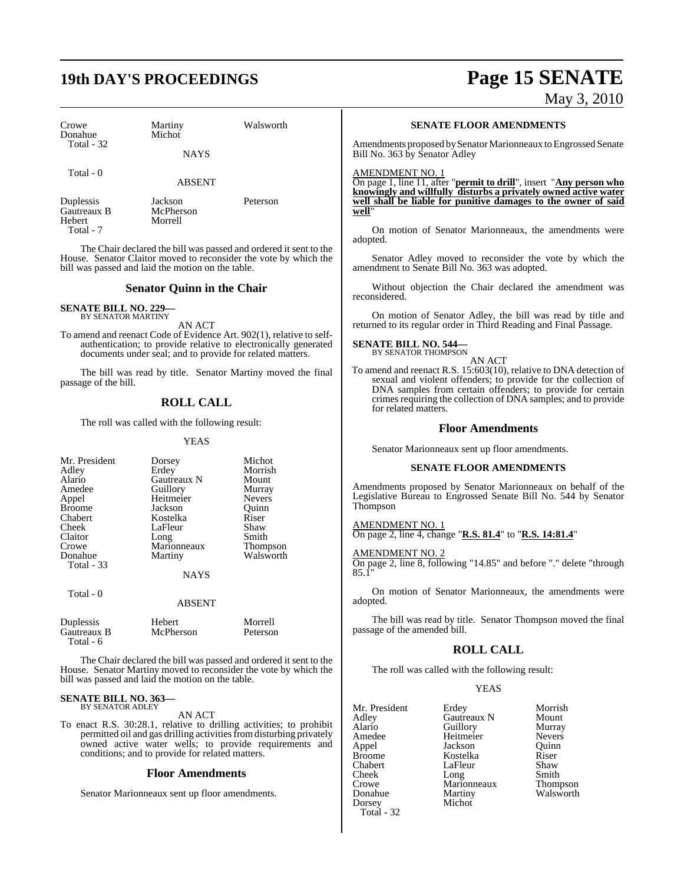# **19th DAY'S PROCEEDINGS Page 15 SENATE**

May 3, 2010

| Crowe<br>Donahue<br>Total - 32     | Martiny<br>Michot<br><b>NAYS</b> | Walsworth |
|------------------------------------|----------------------------------|-----------|
| Total - 0                          | <b>ABSENT</b>                    |           |
| Duplessis<br>Gautreaux B<br>Hebert | Jackson<br>McPherson<br>Morrell  | Peterson  |

Total - 7

The Chair declared the bill was passed and ordered it sent to the House. Senator Claitor moved to reconsider the vote by which the bill was passed and laid the motion on the table.

#### **Senator Quinn in the Chair**

#### **SENATE BILL NO. 229** BY SENATOR MARTINY

AN ACT

To amend and reenact Code of Evidence Art. 902(1), relative to selfauthentication; to provide relative to electronically generated documents under seal; and to provide for related matters.

The bill was read by title. Senator Martiny moved the final passage of the bill.

### **ROLL CALL**

The roll was called with the following result:

YEAS

| Mr. President<br>Adley<br>Alario<br>Amedee<br>Appel<br><b>Broome</b><br>Chabert<br>Cheek<br>Claitor<br>Crowe | Dorsey<br>Erdey<br>Gautreaux N<br>Guillory<br>Heitmeier<br>Jackson<br>Kostelka<br>LaFleur<br>Long<br>Marionneaux | Michot<br>Morrish<br>Mount<br>Murray<br><b>Nevers</b><br>Quinn<br>Riser<br>Shaw<br>Smith<br><b>Thompson</b> |
|--------------------------------------------------------------------------------------------------------------|------------------------------------------------------------------------------------------------------------------|-------------------------------------------------------------------------------------------------------------|
| Donahue<br>Total - 33                                                                                        | Martiny                                                                                                          | Walsworth                                                                                                   |
|                                                                                                              | <b>NAYS</b>                                                                                                      |                                                                                                             |
| Total - 0                                                                                                    | ABSENT                                                                                                           |                                                                                                             |

| Duplessis   | Hebert    | Morrell  |
|-------------|-----------|----------|
| Gautreaux B | McPherson | Peterson |
| Total - 6   |           |          |

The Chair declared the bill was passed and ordered it sent to the House. Senator Martiny moved to reconsider the vote by which the bill was passed and laid the motion on the table.

#### **SENATE BILL NO. 363—** BY SENATOR ADLEY

AN ACT

To enact R.S. 30:28.1, relative to drilling activities; to prohibit permitted oil and gas drilling activities from disturbing privately owned active water wells; to provide requirements and conditions; and to provide for related matters.

#### **Floor Amendments**

Senator Marionneaux sent up floor amendments.

#### **SENATE FLOOR AMENDMENTS**

Amendments proposed by Senator Marionneaux to Engrossed Senate Bill No. 363 by Senator Adley

AMENDMENT NO. 1

On page 1, line 11, after "**permit to drill**", insert "**Any person who knowingly and willfully disturbs a privately owned active water well shall be liable for punitive damages to the owner of said well**"

On motion of Senator Marionneaux, the amendments were adopted.

Senator Adley moved to reconsider the vote by which the amendment to Senate Bill No. 363 was adopted.

Without objection the Chair declared the amendment was reconsidered.

On motion of Senator Adley, the bill was read by title and returned to its regular order in Third Reading and Final Passage.

### **SENATE BILL NO. 544—** BY SENATOR THOMPSON

AN ACT

To amend and reenact R.S. 15:603(10), relative to DNA detection of sexual and violent offenders; to provide for the collection of DNA samples from certain offenders; to provide for certain crimes requiring the collection of DNA samples; and to provide for related matters.

#### **Floor Amendments**

Senator Marionneaux sent up floor amendments.

#### **SENATE FLOOR AMENDMENTS**

Amendments proposed by Senator Marionneaux on behalf of the Legislative Bureau to Engrossed Senate Bill No. 544 by Senator Thompson

#### AMENDMENT NO. 1

On page 2, line 4, change "**R.S. 81.4**" to "**R.S. 14:81.4**"

#### AMENDMENT NO. 2

On page 2, line 8, following "14.85" and before "." delete "through 85.1"

On motion of Senator Marionneaux, the amendments were adopted.

The bill was read by title. Senator Thompson moved the final passage of the amended bill.

#### **ROLL CALL**

The roll was called with the following result:

#### YEAS

| Mr. President | Erdey       | Morrish         |
|---------------|-------------|-----------------|
| Adley         | Gautreaux N | Mount           |
| Alario        | Guillory    | Murray          |
| Amedee        | Heitmeier   | <b>Nevers</b>   |
| Appel         | Jackson     | Ouinn           |
| <b>Broome</b> | Kostelka    | Riser           |
| Chabert       | LaFleur     | Shaw            |
| Cheek         | Long        | Smith           |
| Crowe         | Marionneaux | <b>Thompson</b> |
| Donahue       | Martiny     | Walsworth       |
| Dorsey        | Michot      |                 |
| Total - $32$  |             |                 |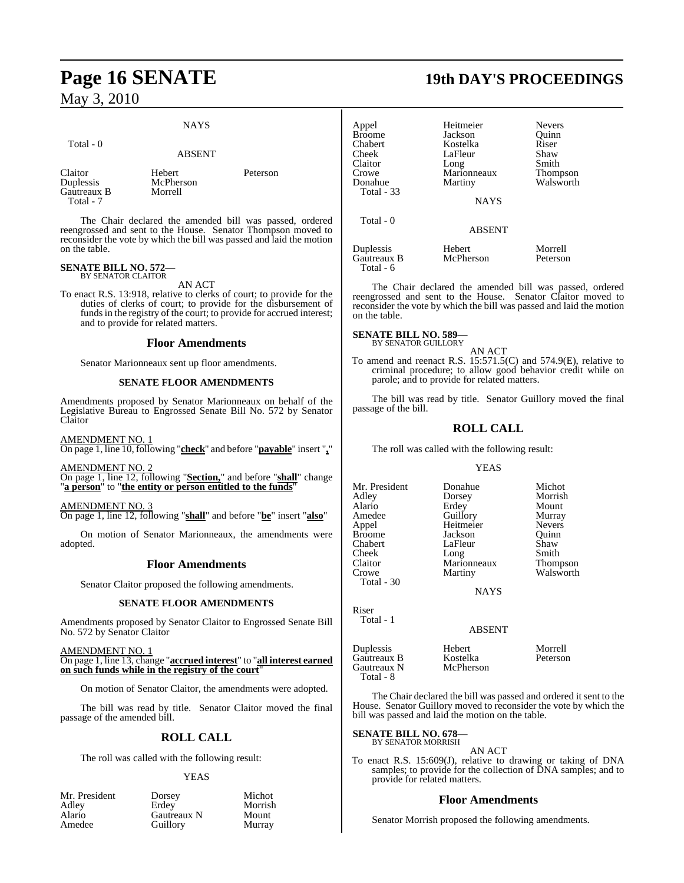### **NAYS**

Total - 0

#### ABSENT

Claitor Hebert Peterson<br>
Duplessis McPherson Gautreaux B Total - 7

McPherson<br>Morrell

The Chair declared the amended bill was passed, ordered reengrossed and sent to the House. Senator Thompson moved to reconsider the vote by which the bill was passed and laid the motion on the table.

#### **SENATE BILL NO. 572—** BY SENATOR CLAITOR

AN ACT

To enact R.S. 13:918, relative to clerks of court; to provide for the duties of clerks of court; to provide for the disbursement of funds in the registry of the court; to provide for accrued interest; and to provide for related matters.

#### **Floor Amendments**

Senator Marionneaux sent up floor amendments.

#### **SENATE FLOOR AMENDMENTS**

Amendments proposed by Senator Marionneaux on behalf of the Legislative Bureau to Engrossed Senate Bill No. 572 by Senator Claitor

AMENDMENT NO. 1

On page 1, line 10, following "**check**" and before "**payable**" insert "**,**"

#### AMENDMENT NO. 2

On page 1, line 12, following "**Section,**" and before "**shall**" change "**a person**" to "**the entity or person entitled to the funds**"

#### AMENDMENT NO. 3

On page 1, line 12, following "**shall**" and before "**be**" insert "**also**"

On motion of Senator Marionneaux, the amendments were adopted.

#### **Floor Amendments**

Senator Claitor proposed the following amendments.

#### **SENATE FLOOR AMENDMENTS**

Amendments proposed by Senator Claitor to Engrossed Senate Bill No. 572 by Senator Claitor

#### AMENDMENT NO. 1

On page 1, line 13, change "**accrued interest**" to "**all interest earned** on such funds while in the registry of the court<sup>'</sup>

On motion of Senator Claitor, the amendments were adopted.

The bill was read by title. Senator Claitor moved the final passage of the amended bill.

### **ROLL CALL**

The roll was called with the following result:

#### YEAS

Morrish<br>Mount

| Mr. Presiden |  |
|--------------|--|
| Adley        |  |
| Alario       |  |
| Amedee       |  |

nt Dorsey Michot<br>Erdey Morrish Gautreaux N Mount<br> **Alario Guillory** Murray Guillory

### **Page 16 SENATE 19th DAY'S PROCEEDINGS**

| Appel<br><b>Broome</b><br>Chabert<br>Cheek<br>Claitor<br>Crowe | Heitmeier<br>Jackson<br>Kostelka<br>LaFleur<br>Long<br>Marionneaux | <b>Nevers</b><br>Ouinn<br>Riser<br>Shaw<br>Smith<br><b>Thompson</b> |
|----------------------------------------------------------------|--------------------------------------------------------------------|---------------------------------------------------------------------|
| Donahue<br>Total - 33                                          | Martiny<br><b>NAYS</b>                                             | Walsworth                                                           |
| Total - 0                                                      | <b>ABSENT</b>                                                      |                                                                     |
| Duplessis<br>Gautreaux B<br>Total - 6                          | Hebert<br>McPherson                                                | Morrell<br>Peterson                                                 |

The Chair declared the amended bill was passed, ordered reengrossed and sent to the House. Senator Claitor moved to reconsider the vote by which the bill was passed and laid the motion on the table.

#### **SENATE BILL NO. 589—** BY SENATOR GUILLORY

AN ACT To amend and reenact R.S. 15:571.5(C) and 574.9(E), relative to criminal procedure; to allow good behavior credit while on parole; and to provide for related matters.

The bill was read by title. Senator Guillory moved the final passage of the bill.

#### **ROLL CALL**

The roll was called with the following result:

#### YEAS

| Mr. President | Donahue       | Michot        |
|---------------|---------------|---------------|
| Adley         | Dorsey        | Morrish       |
| Alario        | Erdey         | Mount         |
| Amedee        | Guillory      | Murray        |
| Appel         | Heitmeier     | <b>Nevers</b> |
| Broome        | Jackson       | Ouinn         |
| Chabert       | LaFleur       | Shaw          |
| Cheek         | Long          | Smith         |
| Claitor       | Marionneaux   | Thompson      |
| Crowe         | Martiny       | Walsworth     |
| Total - 30    |               |               |
|               | <b>NAYS</b>   |               |
| Riser         |               |               |
| Total - 1     |               |               |
|               | <b>ABSENT</b> |               |

Duplessis Hebert Morrell Gautreaux B<br>
Gautreaux N<br>
McPherson Gautreaux N Total - 8

The Chair declared the bill was passed and ordered it sent to the House. Senator Guillory moved to reconsider the vote by which the bill was passed and laid the motion on the table.

### **SENATE BILL NO. 678—** BY SENATOR MORRISH

AN ACT

To enact R.S. 15:609(J), relative to drawing or taking of DNA samples; to provide for the collection of DNA samples; and to provide for related matters.

#### **Floor Amendments**

Senator Morrish proposed the following amendments.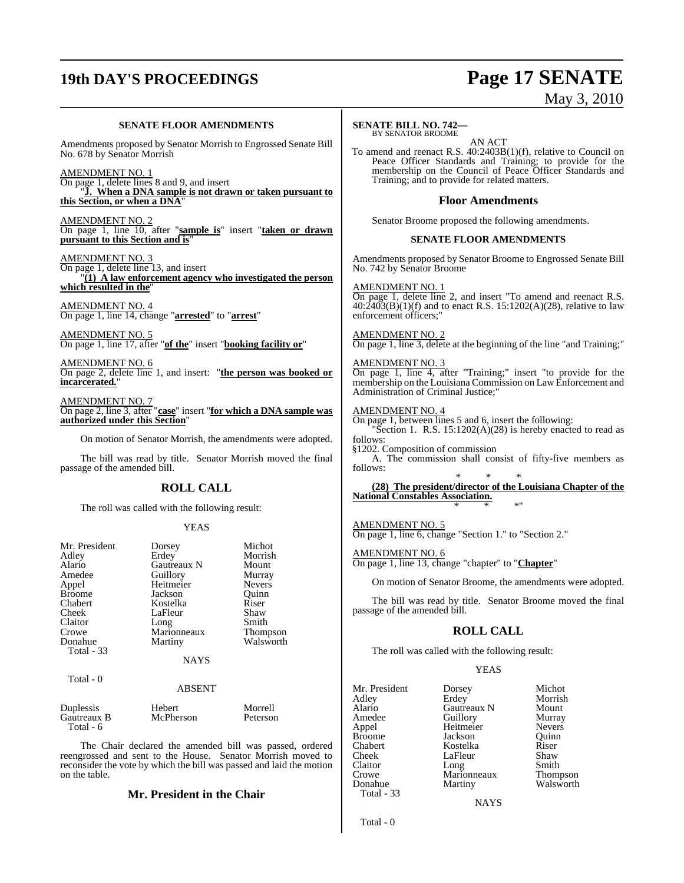## **19th DAY'S PROCEEDINGS Page 17 SENATE**

# May 3, 2010

#### **SENATE FLOOR AMENDMENTS**

Amendments proposed by Senator Morrish to Engrossed Senate Bill No. 678 by Senator Morrish

AMENDMENT NO. 1

On page 1, delete lines 8 and 9, and insert "**J. When a DNA sample is not drawn or taken pursuant to this Section, or when a DNA**"

AMENDMENT NO. 2 On page 1, line 10, after "**sample is**" insert "**taken or drawn pursuant to this Section and is**"

#### AMENDMENT NO. 3

On page 1, delete line 13, and insert "**(1) A law enforcement agency who investigated the person which resulted in the**"

AMENDMENT NO. 4 On page 1, line 14, change "**arrested**" to "**arrest**"

AMENDMENT NO. 5 On page 1, line 17, after "**of the**" insert "**booking facility or**"

AMENDMENT NO. 6 On page 2, delete line 1, and insert: "**the person was booked or incarcerated.**"

AMENDMENT NO. 7 On page 2, line 3, after "**case**" insert "**for which a DNA sample was authorized under this Section**"

On motion of Senator Morrish, the amendments were adopted.

The bill was read by title. Senator Morrish moved the final passage of the amended bill.

#### **ROLL CALL**

The roll was called with the following result:

#### YEAS

| Mr. President<br>Adley<br>Alario<br>Amedee<br>Appel<br><b>Broome</b><br>Chabert<br>Cheek<br>Claitor<br>Crowe<br>Donahue<br>Total - 33 | Dorsey<br>Erdey<br>Gautreaux N<br>Guillory<br>Heitmeier<br>Jackson<br>Kostelka<br>LaFleur<br>Long<br>Marionneaux<br>Martiny | Michot<br>Morrish<br>Mount<br>Murray<br><b>Nevers</b><br>Quinn<br>Riser<br>Shaw<br>Smith<br><b>Thompson</b><br>Walsworth |
|---------------------------------------------------------------------------------------------------------------------------------------|-----------------------------------------------------------------------------------------------------------------------------|--------------------------------------------------------------------------------------------------------------------------|
|                                                                                                                                       | <b>NAYS</b>                                                                                                                 |                                                                                                                          |
| Total - 0                                                                                                                             | <b>ABSENT</b>                                                                                                               |                                                                                                                          |
| $\mathbb{R}$ 1.                                                                                                                       | T T 1 1                                                                                                                     | $\mathbf{M}$ 11                                                                                                          |

Duplessis Hebert Morrell<br>
Gautreaux B McPherson Peterson Gautreaux B Total - 6

The Chair declared the amended bill was passed, ordered reengrossed and sent to the House. Senator Morrish moved to reconsider the vote by which the bill was passed and laid the motion on the table.

#### **Mr. President in the Chair**

#### **SENATE BILL NO. 742—** BY SENATOR BROOME

AN ACT

To amend and reenact R.S. 40:2403B(1)(f), relative to Council on Peace Officer Standards and Training; to provide for the membership on the Council of Peace Officer Standards and Training; and to provide for related matters.

#### **Floor Amendments**

Senator Broome proposed the following amendments.

#### **SENATE FLOOR AMENDMENTS**

Amendments proposed by Senator Broome to Engrossed Senate Bill No. 742 by Senator Broome

AMENDMENT NO. 1

On page 1, delete line 2, and insert "To amend and reenact R.S.  $40:\overline{2}403(B)(1)(f)$  and to enact R.S. 15:1202(A)(28), relative to law enforcement officers;"

#### AMENDMENT NO. 2

On page 1, line 3, delete at the beginning of the line "and Training;"

AMENDMENT NO. 3 On page 1, line 4, after "Training;" insert "to provide for the membership on the Louisiana Commission on Law Enforcement and Administration of Criminal Justice;"

#### AMENDMENT NO. 4

On page 1, between lines 5 and 6, insert the following: 'Section 1. R.S.  $15:1202(A)(28)$  is hereby enacted to read as follows:

§1202. Composition of commission A. The commission shall consist of fifty-five members as follows:

\* \* \* **(28) The president/director of the Louisiana Chapter of the National Constables Association.** \* \* \*"

AMENDMENT NO. 5 On page 1, line 6, change "Section 1." to "Section 2."

AMENDMENT NO. 6 On page 1, line 13, change "chapter" to "**Chapter**"

On motion of Senator Broome, the amendments were adopted.

The bill was read by title. Senator Broome moved the final passage of the amended bill.

#### **ROLL CALL**

The roll was called with the following result:

#### YEAS

**NAYS** 

Total - 0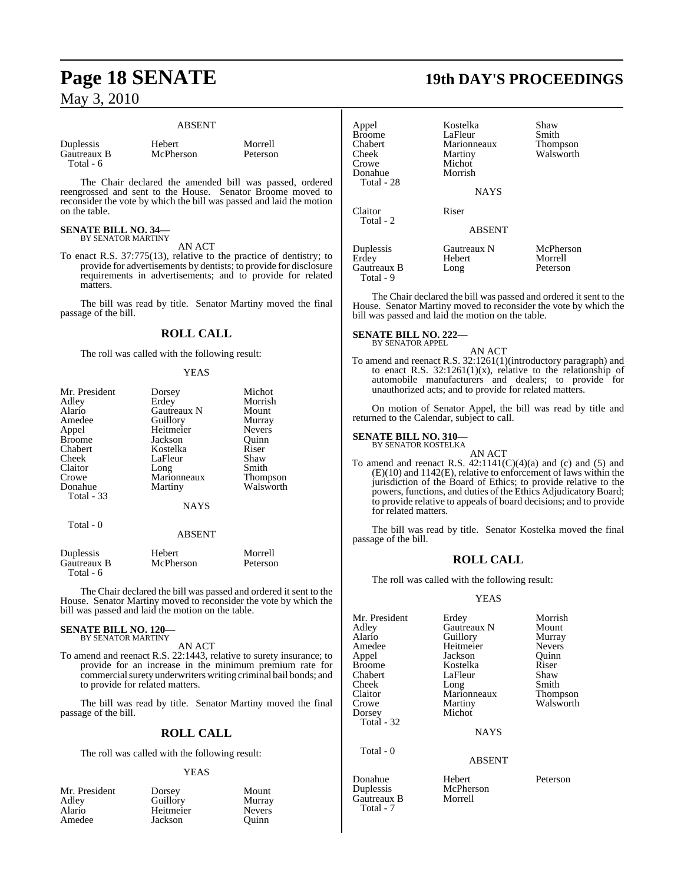#### ABSENT

| Duplessis   |  |
|-------------|--|
| Gautreaux B |  |
| Total - 6   |  |

Hebert Morrell<br>
McPherson Peterson McPherson

The Chair declared the amended bill was passed, ordered reengrossed and sent to the House. Senator Broome moved to reconsider the vote by which the bill was passed and laid the motion on the table.

### **SENATE BILL NO. 34—** BY SENATOR MARTINY

AN ACT

To enact R.S. 37:775(13), relative to the practice of dentistry; to provide for advertisements by dentists; to provide for disclosure requirements in advertisements; and to provide for related matters.

The bill was read by title. Senator Martiny moved the final passage of the bill.

#### **ROLL CALL**

The roll was called with the following result:

#### YEAS

| Mr. President | Dorsey        | Michot          |
|---------------|---------------|-----------------|
| Adley         | Erdey         | Morrish         |
| Alario        | Gautreaux N   | Mount           |
| Amedee        | Guillory      | Murray          |
| Appel         | Heitmeier     | <b>Nevers</b>   |
| <b>Broome</b> | Jackson       | Ouinn           |
| Chabert       | Kostelka      | Riser           |
| Cheek         | LaFleur       | Shaw            |
| Claitor       | Long          | Smith           |
| Crowe         | Marionneaux   | <b>Thompson</b> |
| Donahue       | Martiny       | Walsworth       |
| Total - 33    |               |                 |
|               | <b>NAYS</b>   |                 |
| Total - 0     |               |                 |
|               | <b>ABSENT</b> |                 |
|               |               |                 |

| Duplessis   | Hebert    | Morrell  |
|-------------|-----------|----------|
| Gautreaux B | McPherson | Peterson |
| Total - 6   |           |          |

The Chair declared the bill was passed and ordered it sent to the House. Senator Martiny moved to reconsider the vote by which the bill was passed and laid the motion on the table.

### **SENATE BILL NO. 120—** BY SENATOR MARTINY

AN ACT

To amend and reenact R.S. 22:1443, relative to surety insurance; to provide for an increase in the minimum premium rate for commercial surety underwriters writing criminal bail bonds; and to provide for related matters.

The bill was read by title. Senator Martiny moved the final passage of the bill.

#### **ROLL CALL**

The roll was called with the following result:

#### YEAS

| Mr. President<br>Adley | Dorsey<br>Guillory | Mount<br>Murray |
|------------------------|--------------------|-----------------|
| Alario                 | Heitmeier          | <b>Nevers</b>   |
| Amedee                 | Jackson            | Ouinn           |

### **Page 18 SENATE 19th DAY'S PROCEEDINGS**

| Appel<br><b>Broome</b><br>Chabert<br>Cheek<br>Crowe<br>Donahue<br>Total - 28 | Kostelka<br>LaFleur<br>Marionneaux<br>Martiny<br>Michot<br>Morrish<br><b>NAYS</b> | Shaw<br>Smith<br><b>Thompson</b><br>Walsworth |
|------------------------------------------------------------------------------|-----------------------------------------------------------------------------------|-----------------------------------------------|
| Claitor<br>Total - 2                                                         | Riser<br><b>ABSENT</b>                                                            |                                               |
| Duplessis<br>Erdey<br>Gautreaux B<br>Total - 9                               | Gautreaux N<br>Hebert<br>Long                                                     | McPherson<br>Morrell<br>Peterson              |

The Chair declared the bill was passed and ordered it sent to the House. Senator Martiny moved to reconsider the vote by which the bill was passed and laid the motion on the table.

#### **SENATE BILL NO. 222—**

BY SENATOR APPEL

AN ACT To amend and reenact R.S. 32:1261(1)(introductory paragraph) and to enact R.S.  $32:1261(1)(x)$ , relative to the relationship of automobile manufacturers and dealers; to provide for unauthorized acts; and to provide for related matters.

On motion of Senator Appel, the bill was read by title and returned to the Calendar, subject to call.

### **SENATE BILL NO. 310—** BY SENATOR KOSTELKA

AN ACT To amend and reenact R.S.  $42:1141(C)(4)(a)$  and (c) and (5) and (E)(10) and 1142(E), relative to enforcement of laws within the jurisdiction of the Board of Ethics; to provide relative to the powers, functions, and duties of the Ethics Adjudicatory Board; to provide relative to appeals of board decisions; and to provide for related matters.

The bill was read by title. Senator Kostelka moved the final passage of the bill.

### **ROLL CALL**

The roll was called with the following result:

#### YEAS

| Mr. President<br>Adley<br>Alario<br>Amedee<br>Appel<br>Broome | Erdey<br>Gautreaux N<br>Guillory<br>Heitmeier<br>Jackson<br>Kostelka | Morrish<br>Mount<br>Murray<br><b>Nevers</b><br>Ouinn<br>Riser |
|---------------------------------------------------------------|----------------------------------------------------------------------|---------------------------------------------------------------|
|                                                               |                                                                      |                                                               |
|                                                               |                                                                      |                                                               |
|                                                               |                                                                      |                                                               |
|                                                               |                                                                      |                                                               |
| Chabert                                                       | LaFleur                                                              | Shaw                                                          |
| Cheek                                                         | Long                                                                 | Smith                                                         |
| Claitor                                                       | Marionneaux                                                          | <b>Thompson</b>                                               |
| Crowe                                                         | Martiny                                                              | Walsworth                                                     |
| Dorsey                                                        | Michot                                                               |                                                               |
| Total - 32                                                    |                                                                      |                                                               |
|                                                               | <b>NAYS</b>                                                          |                                                               |
| Total - 0                                                     |                                                                      |                                                               |
|                                                               | <b>ABSENT</b>                                                        |                                                               |

McPherson<br>Morrell

Donahue Hebert Peterson Gautreaux B Total - 7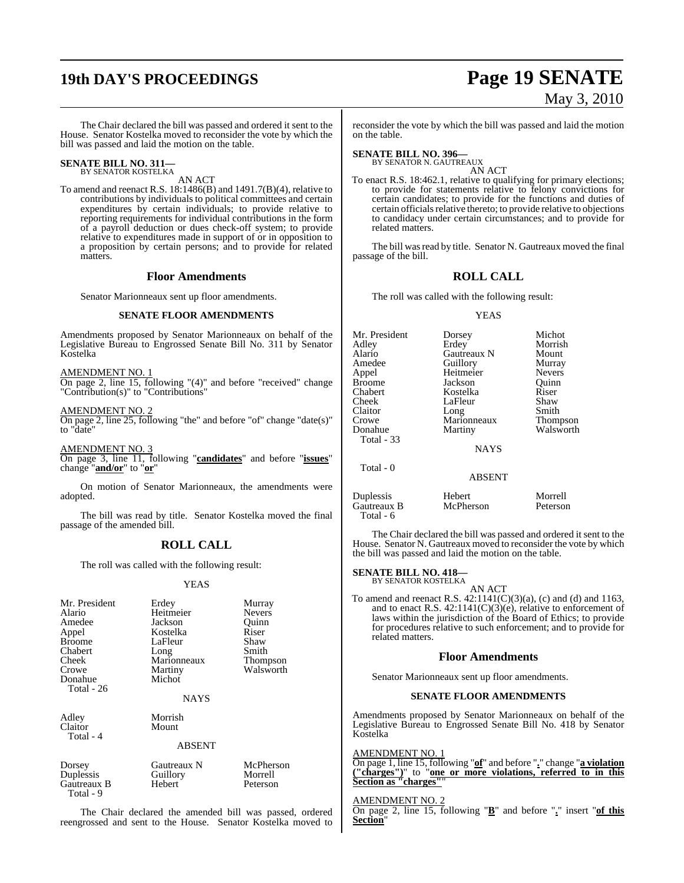# **19th DAY'S PROCEEDINGS Page 19 SENATE**

# May 3, 2010

The Chair declared the bill was passed and ordered it sent to the House. Senator Kostelka moved to reconsider the vote by which the bill was passed and laid the motion on the table.

### **SENATE BILL NO. 311—** BY SENATOR KOSTELKA

AN ACT

To amend and reenact R.S. 18:1486(B) and 1491.7(B)(4), relative to contributions by individuals to political committees and certain expenditures by certain individuals; to provide relative to reporting requirements for individual contributions in the form of a payroll deduction or dues check-off system; to provide relative to expenditures made in support of or in opposition to a proposition by certain persons; and to provide for related matters.

#### **Floor Amendments**

Senator Marionneaux sent up floor amendments.

#### **SENATE FLOOR AMENDMENTS**

Amendments proposed by Senator Marionneaux on behalf of the Legislative Bureau to Engrossed Senate Bill No. 311 by Senator Kostelka

#### AMENDMENT NO. 1

On page 2, line 15, following "(4)" and before "received" change "Contribution(s)" to "Contributions"

#### AMENDMENT NO. 2

On page 2, line 25, following "the" and before "of" change "date(s)" to "date"

AMENDMENT NO. 3

On page 3, line 11, following "**candidates**" and before "**issues**" change "**and/or**" to "**or**"

On motion of Senator Marionneaux, the amendments were adopted.

The bill was read by title. Senator Kostelka moved the final passage of the amended bill.

### **ROLL CALL**

The roll was called with the following result:

#### YEAS

| Mr. President<br>Alario<br>Amedee<br>Appel<br><b>Broome</b><br>Chabert<br>Cheek<br>Crowe<br>Donahue<br>Total - 26 | Erdey<br>Heitmeier<br>Jackson<br>Kostelka<br>LaFleur<br>Long<br>Marionneaux<br>Martiny<br>Michot<br>NAYS | Murray<br><b>Nevers</b><br>Ouinn<br>Riser<br>Shaw<br>Smith<br>Thompson<br>Walsworth |
|-------------------------------------------------------------------------------------------------------------------|----------------------------------------------------------------------------------------------------------|-------------------------------------------------------------------------------------|
| Adley<br>Claitor<br>Total - 4                                                                                     | Morrish<br>Mount<br><b>ABSENT</b>                                                                        |                                                                                     |
| Dorsey<br>Duplessis<br>Gautreaux B<br>Total - 9                                                                   | Gautreaux N<br>Guillory<br>Hebert                                                                        | McPherson<br>Morrell<br>Peterson                                                    |

The Chair declared the amended bill was passed, ordered reengrossed and sent to the House. Senator Kostelka moved to

reconsider the vote by which the bill was passed and laid the motion on the table.

**SENATE BILL NO. 396—** BY SENATOR N. GAUTREAUX

AN ACT

To enact R.S. 18:462.1, relative to qualifying for primary elections; to provide for statements relative to felony convictions for certain candidates; to provide for the functions and duties of certain officials relative thereto; to provide relative to objections to candidacy under certain circumstances; and to provide for related matters.

The bill was read by title. Senator N. Gautreaux moved the final passage of the bill.

#### **ROLL CALL**

The roll was called with the following result:

#### YEAS

| Mr. President | Dorsey        | Michot        |
|---------------|---------------|---------------|
| Adley         | Erdey         | Morrish       |
| Alario        | Gautreaux N   | Mount         |
| Amedee        | Guillory      | Murray        |
| Appel         | Heitmeier     | <b>Nevers</b> |
| <b>Broome</b> | Jackson       | Quinn         |
| Chabert       | Kostelka      | Riser         |
| Cheek         | LaFleur       | Shaw          |
| Claitor       | Long          | Smith         |
| Crowe         | Marionneaux   | Thompson      |
| Donahue       | Martiny       | Walsworth     |
| Total - 33    |               |               |
|               | <b>NAYS</b>   |               |
| Total - 0     |               |               |
|               | <b>ABSENT</b> |               |
| Duplessis     | Hebert        | Morrell       |
| Gautreaux B   | McPherson     | Peterson      |

The Chair declared the bill was passed and ordered it sent to the House. Senator N. Gautreaux moved to reconsider the vote by which the bill was passed and laid the motion on the table.

### **SENATE BILL NO. 418—** BY SENATOR KOSTELKA

Total - 6

AN ACT

To amend and reenact R.S.  $42:1141(C)(3)(a)$ , (c) and (d) and 1163, and to enact R.S.  $42:1141(C)(3)(e)$ , relative to enforcement of laws within the jurisdiction of the Board of Ethics; to provide for procedures relative to such enforcement; and to provide for related matters.

#### **Floor Amendments**

Senator Marionneaux sent up floor amendments.

#### **SENATE FLOOR AMENDMENTS**

Amendments proposed by Senator Marionneaux on behalf of the Legislative Bureau to Engrossed Senate Bill No. 418 by Senator Kostelka

AMENDMENT NO. 1

On page 1, line 15, following "**of**" and before "**.**" change "**a violation ("charges")**" to "**one or more violations, referred to in this Section as "charges"**"

### AMENDMENT NO

On page 2, line 15, following "**B**" and before "**.**" insert "**of this Section**"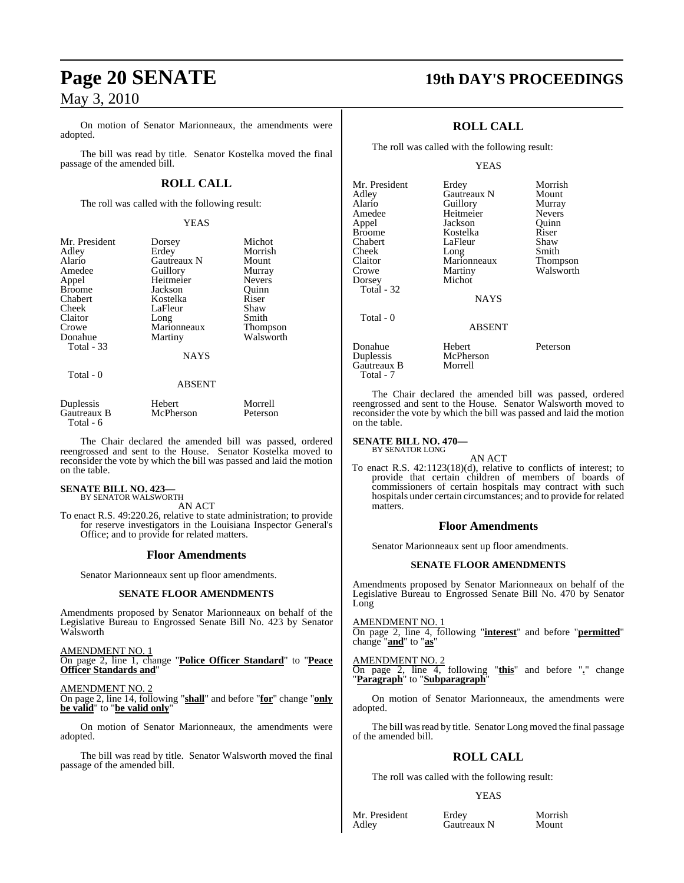On motion of Senator Marionneaux, the amendments were adopted.

The bill was read by title. Senator Kostelka moved the final passage of the amended bill.

### **ROLL CALL**

The roll was called with the following result:

#### YEAS

| Mr. President<br>Adley<br>Alario<br>Amedee<br>Appel<br><b>Broome</b><br>Chabert<br>Cheek<br>Claitor<br>Crowe<br>Donahue<br>Total - 33 | Dorsey<br>Erdey<br>Gautreaux N<br>Guillory<br>Heitmeier<br>Jackson<br>Kostelka<br>LaFleur<br>Long<br>Marionneaux<br>Martiny | Michot<br>Morrish<br>Mount<br>Murray<br><b>Nevers</b><br>Ouinn<br>Riser<br>Shaw<br>Smith<br><b>Thompson</b><br>Walsworth |
|---------------------------------------------------------------------------------------------------------------------------------------|-----------------------------------------------------------------------------------------------------------------------------|--------------------------------------------------------------------------------------------------------------------------|
|                                                                                                                                       | <b>NAYS</b>                                                                                                                 |                                                                                                                          |
| Total - 0                                                                                                                             | ABSENT                                                                                                                      |                                                                                                                          |

| Duplessis   | Hebert    | Morrell  |
|-------------|-----------|----------|
| Gautreaux B | McPherson | Peterson |
| Total - 6   |           |          |

The Chair declared the amended bill was passed, ordered reengrossed and sent to the House. Senator Kostelka moved to reconsider the vote by which the bill was passed and laid the motion on the table.

#### **SENATE BILL NO. 423—** BY SENATOR WALSWORTH

AN ACT

To enact R.S. 49:220.26, relative to state administration; to provide for reserve investigators in the Louisiana Inspector General's Office; and to provide for related matters.

#### **Floor Amendments**

Senator Marionneaux sent up floor amendments.

#### **SENATE FLOOR AMENDMENTS**

Amendments proposed by Senator Marionneaux on behalf of the Legislative Bureau to Engrossed Senate Bill No. 423 by Senator Walsworth

AMENDMENT NO. 1

On page 2, line 1, change "**Police Officer Standard**" to "**Peace Officer Standards and**"

AMENDMENT NO. 2

On page 2, line 14, following "**shall**" and before "**for**" change "**only be valid**" to "**be valid only**"

On motion of Senator Marionneaux, the amendments were adopted.

The bill was read by title. Senator Walsworth moved the final passage of the amended bill.

### **Page 20 SENATE 19th DAY'S PROCEEDINGS**

### **ROLL CALL**

The roll was called with the following result:

#### YEAS

| Mr. President<br>Adlev<br>Alario<br>Amedee<br>Appel<br><b>Broome</b><br>Chabert<br>Cheek<br>Claitor<br>Crowe<br>Dorsey<br>Total - 32 | Erdey<br>Gautreaux N<br>Guillory<br>Heitmeier<br>Jackson<br>Kostelka<br>LaFleur<br>Long<br>Marionneaux<br>Martiny<br>Michot<br><b>NAYS</b> | Morrish<br>Mount<br>Murray<br><b>Nevers</b><br>Quinn<br>Riser<br>Shaw<br>Smith<br>Thompson<br>Walsworth |
|--------------------------------------------------------------------------------------------------------------------------------------|--------------------------------------------------------------------------------------------------------------------------------------------|---------------------------------------------------------------------------------------------------------|
| Total - 0                                                                                                                            | <b>ABSENT</b>                                                                                                                              |                                                                                                         |
| Donahue<br>Duplessis<br>Gautreaux B<br>Total - 7                                                                                     | Hebert<br>McPherson<br>Morrell                                                                                                             | Peterson                                                                                                |

The Chair declared the amended bill was passed, ordered reengrossed and sent to the House. Senator Walsworth moved to reconsider the vote by which the bill was passed and laid the motion on the table.

#### **SENATE BILL NO. 470—** BY SENATOR LONG

AN ACT

To enact R.S. 42:1123(18)(d), relative to conflicts of interest; to provide that certain children of members of boards of commissioners of certain hospitals may contract with such hospitals under certain circumstances; and to provide for related matters.

#### **Floor Amendments**

Senator Marionneaux sent up floor amendments.

#### **SENATE FLOOR AMENDMENTS**

Amendments proposed by Senator Marionneaux on behalf of the Legislative Bureau to Engrossed Senate Bill No. 470 by Senator Long

AMENDMENT NO. 1 On page 2, line 4, following "**interest**" and before "**permitted**" change "**and**" to "**as**"

AMENDMENT NO. 2 On page 2, line 4, following "**this**" and before "**.**" change "**Paragraph**" to "**Subparagraph**"

On motion of Senator Marionneaux, the amendments were adopted.

The bill was read by title. Senator Long moved the final passage of the amended bill.

### **ROLL CALL**

The roll was called with the following result:

#### YEAS

Mr. President Erdey Morrish<br>Adley Gautreaux N Mount Gautreaux N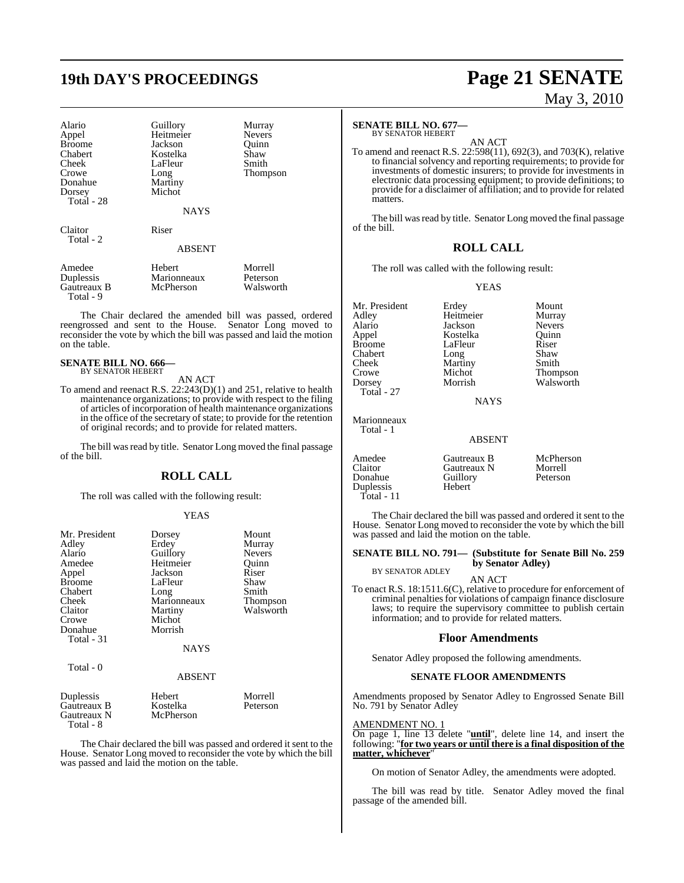## **19th DAY'S PROCEEDINGS Page 21 SENATE**

| Alario               | Guillory      | Murray          |
|----------------------|---------------|-----------------|
| Appel                | Heitmeier     | <b>Nevers</b>   |
| <b>Broome</b>        | Jackson       | Ouinn           |
| Chabert              | Kostelka      | Shaw            |
| Cheek                | LaFleur       | Smith           |
| Crowe                | Long          | <b>Thompson</b> |
| Donahue              | Martiny       |                 |
| Dorsey               | Michot        |                 |
| Total - 28           |               |                 |
|                      | <b>NAYS</b>   |                 |
| Claitor<br>Total - 2 | Riser         |                 |
|                      | <b>ABSENT</b> |                 |
| Amedee               | Hebert        | Morrell         |
| Duplessis            | Marionneaux   | Peterson        |

 Total - 9 The Chair declared the amended bill was passed, ordered reengrossed and sent to the House. Senator Long moved to reconsider the vote by which the bill was passed and laid the motion

Gautreaux B McPherson Walsworth

### **SENATE BILL NO. 666—** BY SENATOR HEBERT

on the table.

AN ACT

To amend and reenact R.S. 22:243(D)(1) and 251, relative to health maintenance organizations; to provide with respect to the filing of articles of incorporation of health maintenance organizations in the office of the secretary of state; to provide for the retention of original records; and to provide for related matters.

The bill was read by title. Senator Long moved the final passage of the bill.

#### **ROLL CALL**

The roll was called with the following result:

#### YEAS

| Mr. President<br>Adley   | Dorsey<br>Erdey | Mount<br>Murray |
|--------------------------|-----------------|-----------------|
| Alario                   | Guillory        | Nevers          |
| Amedee                   | Heitmeier       | Quinn           |
| Appel                    | Jackson         | Riser           |
| <b>Broome</b>            | LaFleur         | Shaw            |
| Chabert                  | Long            | Smith           |
| Cheek                    | Marionneaux     | Thompson        |
| Claitor                  | Martiny         | Walsworth       |
| Crowe                    | Michot          |                 |
| Donahue                  | Morrish         |                 |
| Total - 31               |                 |                 |
|                          | <b>NAYS</b>     |                 |
| Total - 0                |                 |                 |
|                          | <b>ABSENT</b>   |                 |
| Duplessis                | Hebert          | Morrell         |
| Gautreaux B              | Kostelka        | Peterson        |
| Gautreaux N<br>Total - 8 | McPherson       |                 |

The Chair declared the bill was passed and ordered it sent to the House. Senator Long moved to reconsider the vote by which the bill was passed and laid the motion on the table.

#### **SENATE BILL NO. 677—** BY SENATOR HEBERT

AN ACT

To amend and reenact R.S. 22:598(11), 692(3), and 703(K), relative to financial solvency and reporting requirements; to provide for investments of domestic insurers; to provide for investments in electronic data processing equipment; to provide definitions; to provide for a disclaimer of affiliation; and to provide for related matters.

The bill was read by title. Senator Long moved the final passage of the bill.

#### **ROLL CALL**

The roll was called with the following result:

Heitmeier

YEAS

Mr. President Erdey Mount<br>Adley Heitmeier Murray Alario Jackson Nevers Broome LaFleur Riser<br>Chabert Long Shaw Chabert Long Shaw<br>
Cheek Martiny Smith Cheek Martiny<br>Crowe Michot Crowe Michot Thompson<br>
Dorsey Morrish Walsworth

Kostelka Quinn<br>LaFleur Riser Walsworth

**NAYS** 

#### Marionneaux Total - 1

Total - 27

#### ABSENT

| Amedee<br>Claitor<br>Donahue<br>Duplessis<br>Total - 11 | Gautreaux B<br>Gautreaux N<br>Guillory<br>Hebert | McPherson<br>Morrell<br>Peterson |
|---------------------------------------------------------|--------------------------------------------------|----------------------------------|
|                                                         |                                                  |                                  |

The Chair declared the bill was passed and ordered it sent to the House. Senator Long moved to reconsider the vote by which the bill was passed and laid the motion on the table.

#### **SENATE BILL NO. 791— (Substitute for Senate Bill No. 259 by Senator Adley)**

BY SENATOR ADLEY AN ACT

To enact R.S. 18:1511.6(C), relative to procedure for enforcement of criminal penaltiesfor violations of campaign finance disclosure laws; to require the supervisory committee to publish certain information; and to provide for related matters.

#### **Floor Amendments**

Senator Adley proposed the following amendments.

#### **SENATE FLOOR AMENDMENTS**

Amendments proposed by Senator Adley to Engrossed Senate Bill No. 791 by Senator Adley

#### AMENDMENT NO. 1

On page 1, line 13 delete "**until**", delete line 14, and insert the following: "**for two years or until there is a final disposition of the matter, whichever**"

On motion of Senator Adley, the amendments were adopted.

The bill was read by title. Senator Adley moved the final passage of the amended bill.

# May 3, 2010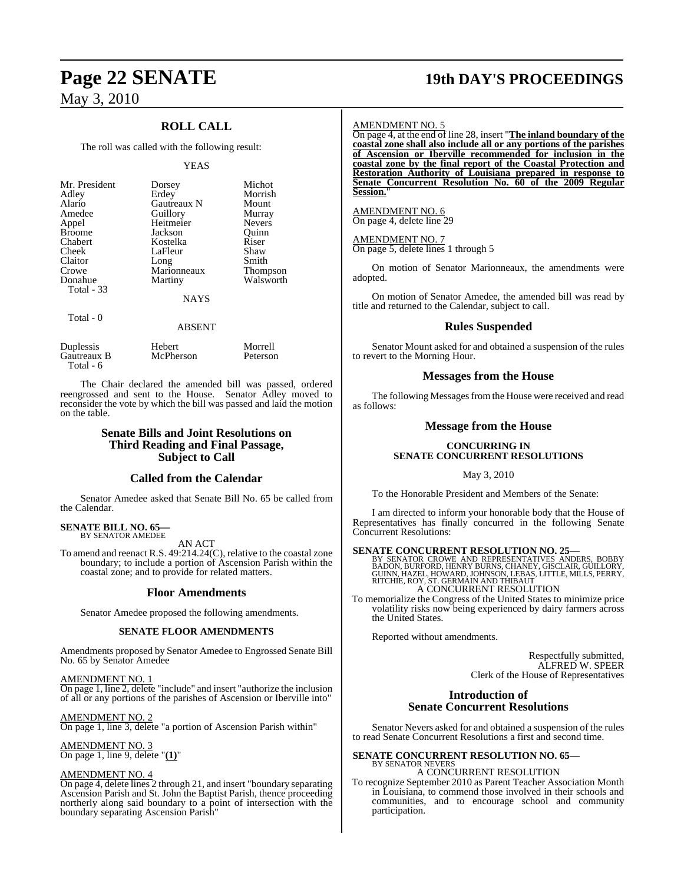### **ROLL CALL**

The roll was called with the following result:

#### YEAS

| Mr. President<br>Adley<br>Alario<br>Amedee<br>Appel<br><b>Broome</b><br>Chabert<br>Cheek<br>Claitor<br>Crowe<br>Donahue<br><b>Total - 33</b> | Dorsey<br>Erdey<br>Gautreaux N<br>Guillory<br>Heitmeier<br>Jackson<br>Kostelka<br>LaFleur<br>Long<br>Marionneaux<br>Martiny<br><b>NAYS</b> | Michot<br>Morrish<br>Mount<br>Murray<br><b>Nevers</b><br>Ouinn<br>Riser<br>Shaw<br>Smith<br><b>Thompson</b><br>Walsworth |
|----------------------------------------------------------------------------------------------------------------------------------------------|--------------------------------------------------------------------------------------------------------------------------------------------|--------------------------------------------------------------------------------------------------------------------------|
| Total - 0                                                                                                                                    | <b>ABSENT</b>                                                                                                                              |                                                                                                                          |

| Duplessis   | Hebert    | Morrell  |
|-------------|-----------|----------|
| Gautreaux B | McPherson | Peterson |
| Total - 6   |           |          |

The Chair declared the amended bill was passed, ordered reengrossed and sent to the House. Senator Adley moved to reconsider the vote by which the bill was passed and laid the motion on the table.

#### **Senate Bills and Joint Resolutions on Third Reading and Final Passage, Subject to Call**

#### **Called from the Calendar**

Senator Amedee asked that Senate Bill No. 65 be called from the Calendar.

#### **SENATE BILL NO. 65—** BY SENATOR AMEDEE

AN ACT

To amend and reenact R.S. 49:214.24(C), relative to the coastal zone boundary; to include a portion of Ascension Parish within the coastal zone; and to provide for related matters.

#### **Floor Amendments**

Senator Amedee proposed the following amendments.

#### **SENATE FLOOR AMENDMENTS**

Amendments proposed by Senator Amedee to Engrossed Senate Bill No. 65 by Senator Amedee

AMENDMENT NO. 1 On page 1, line 2, delete "include" and insert "authorize the inclusion of all or any portions of the parishes of Ascension or Iberville into"

AMENDMENT NO. 2 On page 1, line 3, delete "a portion of Ascension Parish within"

AMENDMENT NO. 3 On page 1, line 9, delete "**(1)**"

#### AMENDMENT NO. 4

On page 4, delete lines 2 through 21, and insert "boundary separating Ascension Parish and St. John the Baptist Parish, thence proceeding northerly along said boundary to a point of intersection with the boundary separating Ascension Parish"

## **Page 22 SENATE 19th DAY'S PROCEEDINGS**

#### AMENDMENT NO. 5

On page 4, at the end of line 28, insert "**The inland boundary of the coastal zone shall also include all or any portions of the parishes of Ascension or Iberville recommended for inclusion in the coastal zone by the final report of the Coastal Protection and Restoration Authority of Louisiana prepared in response to Senate Concurrent Resolution No. 60 of the 2009 Regular Session.**"

AMENDMENT NO. 6 On page 4, delete line 29

#### AMENDMENT NO. 7

On page 5, delete lines 1 through 5

On motion of Senator Marionneaux, the amendments were adopted.

On motion of Senator Amedee, the amended bill was read by title and returned to the Calendar, subject to call.

#### **Rules Suspended**

Senator Mount asked for and obtained a suspension of the rules to revert to the Morning Hour.

#### **Messages from the House**

The following Messages from the House were received and read as follows:

#### **Message from the House**

#### **CONCURRING IN SENATE CONCURRENT RESOLUTIONS**

May 3, 2010

To the Honorable President and Members of the Senate:

I am directed to inform your honorable body that the House of Representatives has finally concurred in the following Senate Concurrent Resolutions:

**SENATE CONCURRENT RESOLUTION NO. 25—BY SENATOR CROWE AND REPRESENTATIVES ANDERS, BOBBY BADON, BURFORD, HENRY GUILLORY, GUILLORY, GUILLORY, GUILLORY, GUILLORY, AND THIBAUT CULLORY, RITCHIE, ROY, ST. GERMAIN AND THIBAUT** A CONCURRENT RESOLUTION

To memorialize the Congress of the United States to minimize price volatility risks now being experienced by dairy farmers across the United States.

Reported without amendments.

Respectfully submitted, ALFRED W. SPEER Clerk of the House of Representatives

#### **Introduction of Senate Concurrent Resolutions**

Senator Nevers asked for and obtained a suspension of the rules to read Senate Concurrent Resolutions a first and second time.

#### **SENATE CONCURRENT RESOLUTION NO. 65—** BY SENATOR NEVERS A CONCURRENT RESOLUTION

To recognize September 2010 as Parent Teacher Association Month in Louisiana, to commend those involved in their schools and communities, and to encourage school and community participation.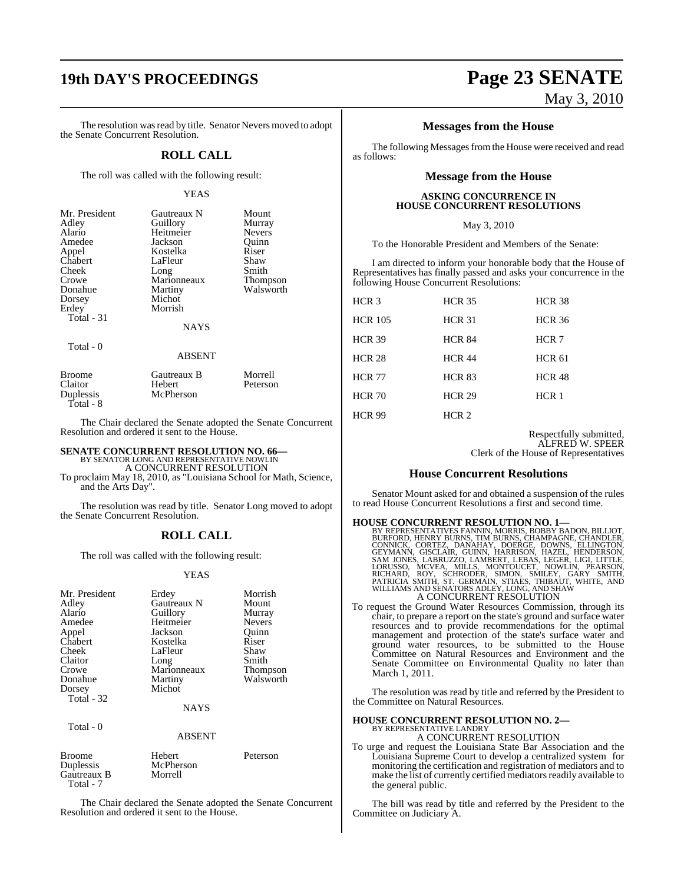The resolution was read by title. Senator Nevers moved to adopt the Senate Concurrent Resolution.

#### **ROLL CALL**

The roll was called with the following result:

#### YEAS

| Mr. President | Gautreaux N | Mount           |
|---------------|-------------|-----------------|
| Adley         | Guillory    | Murray          |
| Alario        | Heitmeier   | <b>Nevers</b>   |
| Amedee        | Jackson     | Quinn           |
| Appel         | Kostelka    | Riser           |
| Chabert       | LaFleur     | Shaw            |
| Cheek         | Long        | Smith           |
| Crowe         | Marionneaux | <b>Thompson</b> |
| Donahue       | Martiny     | Walsworth       |
| Dorsey        | Michot      |                 |
| Erdey         | Morrish     |                 |
| Total - 31    |             |                 |
|               | <b>NAYS</b> |                 |
| Total - 0     |             |                 |

#### ABSENT

| Broome                 | Gautreaux B | Morrell  |  |
|------------------------|-------------|----------|--|
| Claitor                | Hebert      | Peterson |  |
| Duplessis<br>Total - 8 | McPherson   |          |  |
|                        |             |          |  |

The Chair declared the Senate adopted the Senate Concurrent Resolution and ordered it sent to the House.

### **SENATE CONCURRENT RESOLUTION NO. 66—** BY SENATOR LONG AND REPRESENTATIVE NOWLIN A CONCURRENT RESOLUTION

To proclaim May 18, 2010, as "Louisiana School for Math, Science, and the Arts Day".

The resolution was read by title. Senator Long moved to adopt the Senate Concurrent Resolution.

#### **ROLL CALL**

The roll was called with the following result:

#### YEAS

| Mr. President<br>Adley<br>Alario<br>Amedee<br>Appel<br>Chabert<br>Cheek<br>Claitor<br>Crowe<br>Donahue<br>Dorsey<br>Total - 32<br>Total - 0 | Erdey<br>Gautreaux N<br>Guillory<br>Heitmeier<br>Jackson<br>Kostelka<br>LaFleur<br>Long<br>Marionneaux<br>Martiny<br>Michot<br><b>NAYS</b><br><b>ABSENT</b> | Morrish<br>Mount<br>Murray<br><b>Nevers</b><br>Ouinn<br>Riser<br>Shaw<br>Smith<br>Thompson<br>Walsworth |
|---------------------------------------------------------------------------------------------------------------------------------------------|-------------------------------------------------------------------------------------------------------------------------------------------------------------|---------------------------------------------------------------------------------------------------------|
| <b>Broome</b><br>Duplessis<br>Gautreaux B                                                                                                   | Hebert<br>McPherson<br>Morrell                                                                                                                              | Peterson                                                                                                |

The Chair declared the Senate adopted the Senate Concurrent Resolution and ordered it sent to the House.

Total - 7

## **19th DAY'S PROCEEDINGS Page 23 SENATE** May 3, 2010

#### **Messages from the House**

The following Messages from the House were received and read as follows:

#### **Message from the House**

#### **ASKING CONCURRENCE IN HOUSE CONCURRENT RESOLUTIONS**

#### May 3, 2010

To the Honorable President and Members of the Senate:

I am directed to inform your honorable body that the House of Representatives has finally passed and asks your concurrence in the following House Concurrent Resolutions:

| HCR <sub>3</sub> | <b>HCR 35</b> | <b>HCR 38</b>    |
|------------------|---------------|------------------|
| <b>HCR 105</b>   | <b>HCR 31</b> | <b>HCR 36</b>    |
| <b>HCR 39</b>    | <b>HCR 84</b> | HCR 7            |
| <b>HCR 28</b>    | <b>HCR 44</b> | <b>HCR 61</b>    |
| <b>HCR 77</b>    | <b>HCR 83</b> | <b>HCR 48</b>    |
| <b>HCR 70</b>    | <b>HCR 29</b> | HCR <sub>1</sub> |
| <b>HCR 99</b>    | HCR 2         |                  |

#### Respectfully submitted, ALFRED W. SPEER Clerk of the House of Representatives

#### **House Concurrent Resolutions**

Senator Mount asked for and obtained a suspension of the rules to read House Concurrent Resolutions a first and second time.

- **HOUSE CONCURRENT RESOLUTION NO. 1—**<br>BY REPRESENTATIVES FANNIN, MORRIS, BOBBY BADON, BILLIOT,<br>BURFORD, HENRY BURNS, TIM BURNS, CHAMPAGNE, CHANDLER,<br>CONNICK, CORTEZ, DANAHAY, DOERGE, DOWNS, ELLINGTON,<br>GEYMANN, GISCLAIR, GUI A CONCURRENT RESOLUTION
- To request the Ground Water Resources Commission, through its chair, to prepare a report on the state's ground and surface water resources and to provide recommendations for the optimal management and protection of the state's surface water and ground water resources, to be submitted to the House Committee on Natural Resources and Environment and the Senate Committee on Environmental Quality no later than March 1, 2011.

The resolution was read by title and referred by the President to the Committee on Natural Resources.

#### **HOUSE CONCURRENT RESOLUTION NO. 2—** BY REPRESENTATIVE LANDRY

A CONCURRENT RESOLUTION

To urge and request the Louisiana State Bar Association and the Louisiana Supreme Court to develop a centralized system for monitoring the certification and registration of mediators and to make the list of currently certified mediators readily available to the general public.

The bill was read by title and referred by the President to the Committee on Judiciary A.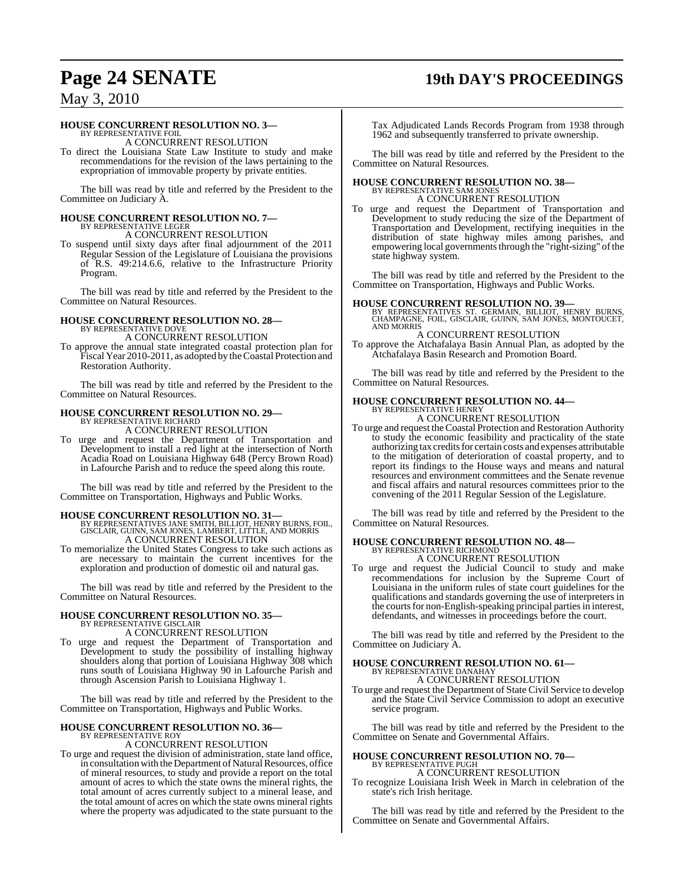# **Page 24 SENATE 19th DAY'S PROCEEDINGS**

### May 3, 2010

#### **HOUSE CONCURRENT RESOLUTION NO. 3—**

BY REPRESENTATIVE FOIL A CONCURRENT RESOLUTION

To direct the Louisiana State Law Institute to study and make recommendations for the revision of the laws pertaining to the expropriation of immovable property by private entities.

The bill was read by title and referred by the President to the Committee on Judiciary A.

### **HOUSE CONCURRENT RESOLUTION NO. 7—** BY REPRESENTATIVE LEGER

A CONCURRENT RESOLUTION

To suspend until sixty days after final adjournment of the 2011 Regular Session of the Legislature of Louisiana the provisions of R.S. 49:214.6.6, relative to the Infrastructure Priority Program.

The bill was read by title and referred by the President to the Committee on Natural Resources.

#### **HOUSE CONCURRENT RESOLUTION NO. 28—** BY REPRESENTATIVE DOVE

A CONCURRENT RESOLUTION

To approve the annual state integrated coastal protection plan for Fiscal Year 2010-2011, as adopted by the Coastal Protection and Restoration Authority.

The bill was read by title and referred by the President to the Committee on Natural Resources.

### **HOUSE CONCURRENT RESOLUTION NO. 29—** BY REPRESENTATIVE RICHARD

A CONCURRENT RESOLUTION

To urge and request the Department of Transportation and Development to install a red light at the intersection of North Acadia Road on Louisiana Highway 648 (Percy Brown Road) in Lafourche Parish and to reduce the speed along this route.

The bill was read by title and referred by the President to the Committee on Transportation, Highways and Public Works.

#### **HOUSE CONCURRENT RESOLUTION NO. 31—**

- BY REPRESENTATIVES JANE SMITH, BILLIOT, HENRY BURNS, FOIL, GISCLAIR, GUINN, SAM JONES, LAMBERT, LITTLE, AND MORRIS A CONCURRENT RESOLUTION
- To memorialize the United States Congress to take such actions as are necessary to maintain the current incentives for the exploration and production of domestic oil and natural gas.

The bill was read by title and referred by the President to the Committee on Natural Resources.

### **HOUSE CONCURRENT RESOLUTION NO. 35—** BY REPRESENTATIVE GISCLAIR

A CONCURRENT RESOLUTION

To urge and request the Department of Transportation and Development to study the possibility of installing highway shoulders along that portion of Louisiana Highway 308 which runs south of Louisiana Highway 90 in Lafourche Parish and through Ascension Parish to Louisiana Highway 1.

The bill was read by title and referred by the President to the Committee on Transportation, Highways and Public Works.

#### **HOUSE CONCURRENT RESOLUTION NO. 36—** BY REPRESENTATIVE ROY

A CONCURRENT RESOLUTION

To urge and request the division of administration, state land office, in consultation with the Department of Natural Resources, office of mineral resources, to study and provide a report on the total amount of acres to which the state owns the mineral rights, the total amount of acres currently subject to a mineral lease, and the total amount of acres on which the state owns mineral rights where the property was adjudicated to the state pursuant to the Tax Adjudicated Lands Records Program from 1938 through 1962 and subsequently transferred to private ownership.

The bill was read by title and referred by the President to the Committee on Natural Resources.

#### **HOUSE CONCURRENT RESOLUTION NO. 38—** BY REPRESENTATIVE SAM JONES

A CONCURRENT RESOLUTION

To urge and request the Department of Transportation and Development to study reducing the size of the Department of Transportation and Development, rectifying inequities in the distribution of state highway miles among parishes, and empowering local governments through the "right-sizing" of the state highway system.

The bill was read by title and referred by the President to the Committee on Transportation, Highways and Public Works.

**HOUSE CONCURRENT RESOLUTION NO. 39—**<br>BY REPRESENTATIVES ST. GERMAIN, BILLIOT, HENRY BURNS,<br>CHAMPAGNE, FOIL, GISCLAIR, GUINN, SAM JONES, MONTOUCET,<br>AND MORRIS

#### A CONCURRENT RESOLUTION

To approve the Atchafalaya Basin Annual Plan, as adopted by the Atchafalaya Basin Research and Promotion Board.

The bill was read by title and referred by the President to the Committee on Natural Resources.

# **HOUSE CONCURRENT RESOLUTION NO. 44—** BY REPRESENTATIVE HENRY

A CONCURRENT RESOLUTION

To urge and request theCoastal Protection and Restoration Authority to study the economic feasibility and practicality of the state authorizing tax creditsfor certain costs and expenses attributable to the mitigation of deterioration of coastal property, and to report its findings to the House ways and means and natural resources and environment committees and the Senate revenue and fiscal affairs and natural resources committees prior to the convening of the 2011 Regular Session of the Legislature.

The bill was read by title and referred by the President to the Committee on Natural Resources.

### **HOUSE CONCURRENT RESOLUTION NO. 48—** BY REPRESENTATIVE RICHMOND

A CONCURRENT RESOLUTION

To urge and request the Judicial Council to study and make recommendations for inclusion by the Supreme Court of Louisiana in the uniform rules of state court guidelines for the qualifications and standards governing the use of interpreters in the courts for non-English-speaking principal parties in interest, defendants, and witnesses in proceedings before the court.

The bill was read by title and referred by the President to the Committee on Judiciary A.

### **HOUSE CONCURRENT RESOLUTION NO. 61—** BY REPRESENTATIVE DANAHAY A CONCURRENT RESOLUTION

To urge and request the Department of State Civil Service to develop and the State Civil Service Commission to adopt an executive service program.

The bill was read by title and referred by the President to the Committee on Senate and Governmental Affairs.

#### **HOUSE CONCURRENT RESOLUTION NO. 70—** BY REPRESENTATIVE PUGH

A CONCURRENT RESOLUTION

To recognize Louisiana Irish Week in March in celebration of the state's rich Irish heritage.

The bill was read by title and referred by the President to the Committee on Senate and Governmental Affairs.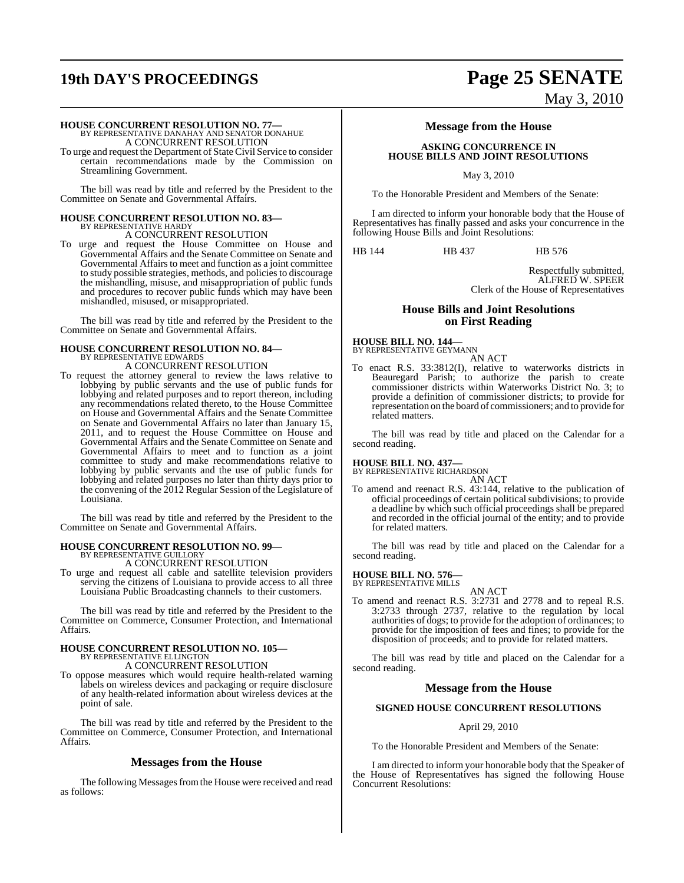# **19th DAY'S PROCEEDINGS Page 25 SENATE**

#### **HOUSE CONCURRENT RESOLUTION NO. 77—**

BY REPRESENTATIVE DANAHAY AND SENATOR DONAHUE A CONCURRENT RESOLUTION

To urge and request the Department of State Civil Service to consider certain recommendations made by the Commission on Streamlining Government.

The bill was read by title and referred by the President to the Committee on Senate and Governmental Affairs.

# **HOUSE CONCURRENT RESOLUTION NO. 83—** BY REPRESENTATIVE HARDY

A CONCURRENT RESOLUTION

To urge and request the House Committee on House and Governmental Affairs and the Senate Committee on Senate and Governmental Affairs to meet and function as a joint committee to study possible strategies, methods, and policiesto discourage the mishandling, misuse, and misappropriation of public funds and procedures to recover public funds which may have been mishandled, misused, or misappropriated.

The bill was read by title and referred by the President to the Committee on Senate and Governmental Affairs.

# **HOUSE CONCURRENT RESOLUTION NO. 84—** BY REPRESENTATIVE EDWARDS

A CONCURRENT RESOLUTION

To request the attorney general to review the laws relative to lobbying by public servants and the use of public funds for lobbying and related purposes and to report thereon, including any recommendations related thereto, to the House Committee on House and Governmental Affairs and the Senate Committee on Senate and Governmental Affairs no later than January 15, 2011, and to request the House Committee on House and Governmental Affairs and the Senate Committee on Senate and Governmental Affairs to meet and to function as a joint committee to study and make recommendations relative to lobbying by public servants and the use of public funds for lobbying and related purposes no later than thirty days prior to the convening of the 2012 Regular Session of the Legislature of Louisiana.

The bill was read by title and referred by the President to the Committee on Senate and Governmental Affairs.

#### **HOUSE CONCURRENT RESOLUTION NO. 99—** BY REPRESENTATIVE GUILLORY

A CONCURRENT RESOLUTION

To urge and request all cable and satellite television providers serving the citizens of Louisiana to provide access to all three Louisiana Public Broadcasting channels to their customers.

The bill was read by title and referred by the President to the Committee on Commerce, Consumer Protection, and International Affairs.

### **HOUSE CONCURRENT RESOLUTION NO. 105—** BY REPRESENTATIVE ELLINGTON A CONCURRENT RESOLUTION

To oppose measures which would require health-related warning labels on wireless devices and packaging or require disclosure of any health-related information about wireless devices at the point of sale.

The bill was read by title and referred by the President to the Committee on Commerce, Consumer Protection, and International Affairs.

#### **Messages from the House**

The following Messages from the House were received and read as follows:

# May 3, 2010

#### **Message from the House**

#### **ASKING CONCURRENCE IN HOUSE BILLS AND JOINT RESOLUTIONS**

May 3, 2010

To the Honorable President and Members of the Senate:

I am directed to inform your honorable body that the House of Representatives has finally passed and asks your concurrence in the following House Bills and Joint Resolutions:

HB 144 HB 437 HB 576

Respectfully submitted, ALFRED W. SPEER Clerk of the House of Representatives

#### **House Bills and Joint Resolutions on First Reading**

# **HOUSE BILL NO. 144—** BY REPRESENTATIVE GEYMANN

AN ACT To enact R.S. 33:3812(I), relative to waterworks districts in Beauregard Parish; to authorize the parish to create commissioner districts within Waterworks District No. 3; to provide a definition of commissioner districts; to provide for representation on the board of commissioners; and to provide for related matters.

The bill was read by title and placed on the Calendar for a second reading.

### **HOUSE BILL NO. 437—** BY REPRESENTATIVE RICHARDSON

- AN ACT
- To amend and reenact R.S. 43:144, relative to the publication of official proceedings of certain political subdivisions; to provide a deadline by which such official proceedings shall be prepared and recorded in the official journal of the entity; and to provide for related matters.

The bill was read by title and placed on the Calendar for a second reading.

### **HOUSE BILL NO. 576—** BY REPRESENTATIVE MILLS

AN ACT

To amend and reenact R.S. 3:2731 and 2778 and to repeal R.S. 3:2733 through 2737, relative to the regulation by local authorities of dogs; to provide for the adoption of ordinances; to provide for the imposition of fees and fines; to provide for the disposition of proceeds; and to provide for related matters.

The bill was read by title and placed on the Calendar for a second reading.

#### **Message from the House**

#### **SIGNED HOUSE CONCURRENT RESOLUTIONS**

#### April 29, 2010

To the Honorable President and Members of the Senate:

I am directed to inform your honorable body that the Speaker of the House of Representatives has signed the following House Concurrent Resolutions: